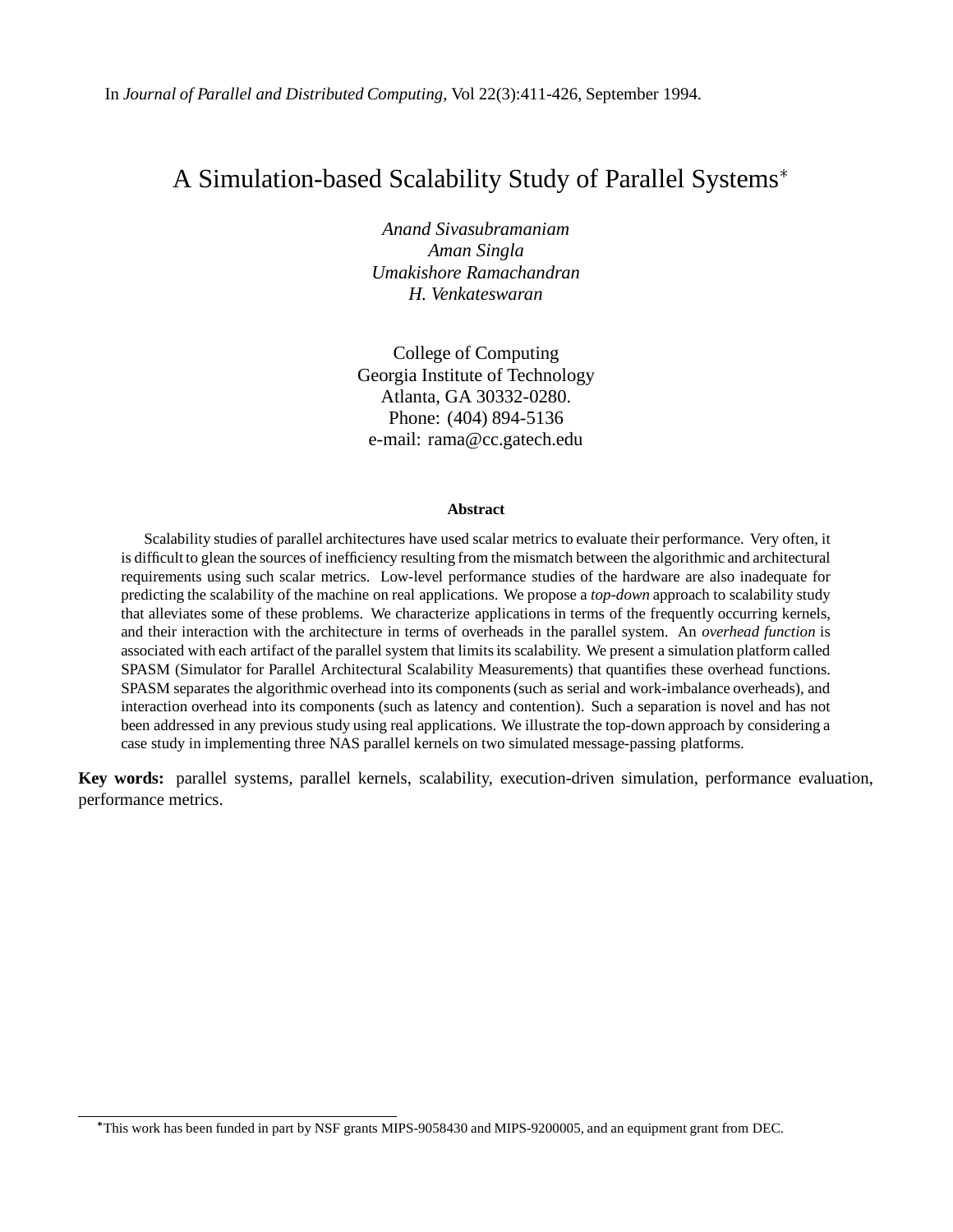# A Simulation-based Scalability Study of Parallel Systems

*Anand Sivasubramaniam Aman Singla Umakishore Ramachandran H. Venkateswaran*

College of Computing Georgia Institute of Technology Atlanta, GA 30332-0280. Phone: (404) 894-5136 e-mail: rama@cc.gatech.edu

#### **Abstract**

Scalability studies of parallel architectures have used scalar metrics to evaluate their performance. Very often, it is difficult to glean the sources of inefficiency resulting from the mismatch between the algorithmic and architectural requirements using such scalar metrics. Low-level performance studies of the hardware are also inadequate for predicting the scalability of the machine on real applications. We propose a *top-down* approach to scalability study that alleviates some of these problems. We characterize applications in terms of the frequently occurring kernels, and their interaction with the architecture in terms of overheads in the parallel system. An *overhead function* is associated with each artifact of the parallel system that limits its scalability. We present a simulation platform called SPASM (Simulator for Parallel Architectural Scalability Measurements) that quantifies these overhead functions. SPASM separates the algorithmic overhead into its components (such as serial and work-imbalance overheads), and interaction overhead into its components (such as latency and contention). Such a separation is novel and has not been addressed in any previous study using real applications. We illustrate the top-down approach by considering a case study in implementing three NAS parallel kernels on two simulated message-passing platforms.

**Key words:** parallel systems, parallel kernels, scalability, execution-driven simulation, performance evaluation, performance metrics.

This work has been funded in part by NSF grants MIPS-9058430 and MIPS-9200005, and an equipment grant from DEC.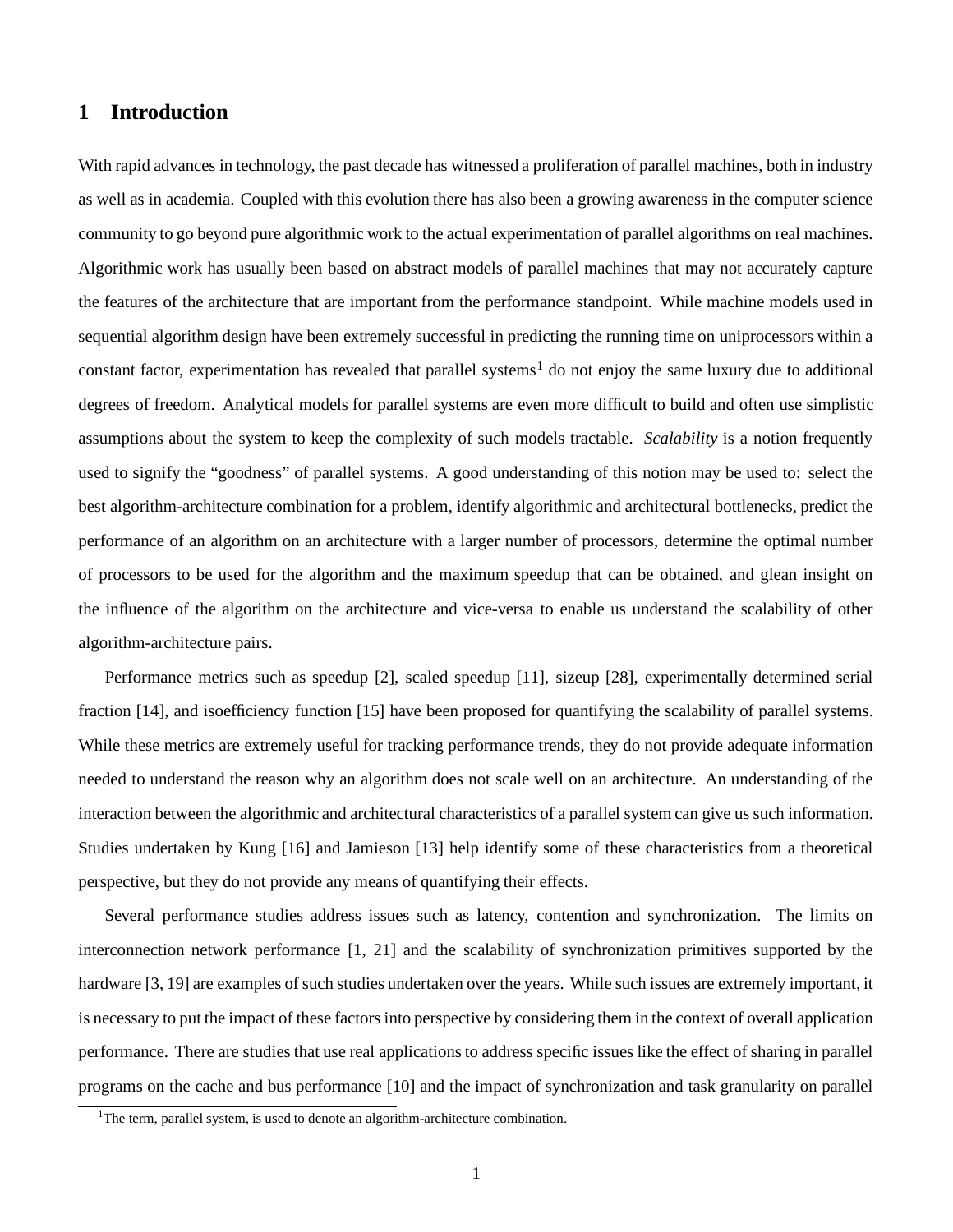## **1 Introduction**

With rapid advances in technology, the past decade has witnessed a proliferation of parallel machines, both in industry as well as in academia. Coupled with this evolution there has also been a growing awareness in the computer science community to go beyond pure algorithmic work to the actual experimentation of parallel algorithms on real machines. Algorithmic work has usually been based on abstract models of parallel machines that may not accurately capture the features of the architecture that are important from the performance standpoint. While machine models used in sequential algorithm design have been extremely successful in predicting the running time on uniprocessors within a constant factor, experimentation has revealed that parallel systems<sup>1</sup> do not enjoy the same luxury due to additional degrees of freedom. Analytical models for parallel systems are even more difficult to build and often use simplistic assumptions about the system to keep the complexity of such models tractable. *Scalability* is a notion frequently used to signify the "goodness" of parallel systems. A good understanding of this notion may be used to: select the best algorithm-architecture combination for a problem, identify algorithmic and architectural bottlenecks, predict the performance of an algorithm on an architecture with a larger number of processors, determine the optimal number of processors to be used for the algorithm and the maximum speedup that can be obtained, and glean insight on the influence of the algorithm on the architecture and vice-versa to enable us understand the scalability of other algorithm-architecture pairs.

Performance metrics such as speedup [2], scaled speedup [11], sizeup [28], experimentally determined serial fraction [14], and isoefficiency function [15] have been proposed for quantifying the scalability of parallel systems. While these metrics are extremely useful for tracking performance trends, they do not provide adequate information needed to understand the reason why an algorithm does not scale well on an architecture. An understanding of the interaction between the algorithmic and architectural characteristics of a parallel system can give us such information. Studies undertaken by Kung [16] and Jamieson [13] help identify some of these characteristics from a theoretical perspective, but they do not provide any means of quantifying their effects.

Several performance studies address issues such as latency, contention and synchronization. The limits on interconnection network performance [1, 21] and the scalability of synchronization primitives supported by the hardware [3, 19] are examples of such studies undertaken over the years. While such issues are extremely important, it is necessary to put the impact of these factors into perspective by considering them in the context of overall application performance. There are studies that use real applicationsto address specific issues like the effect of sharing in parallel programs on the cache and bus performance [10] and the impact of synchronization and task granularity on parallel

<sup>&</sup>lt;sup>1</sup>The term, parallel system, is used to denote an algorithm-architecture combination.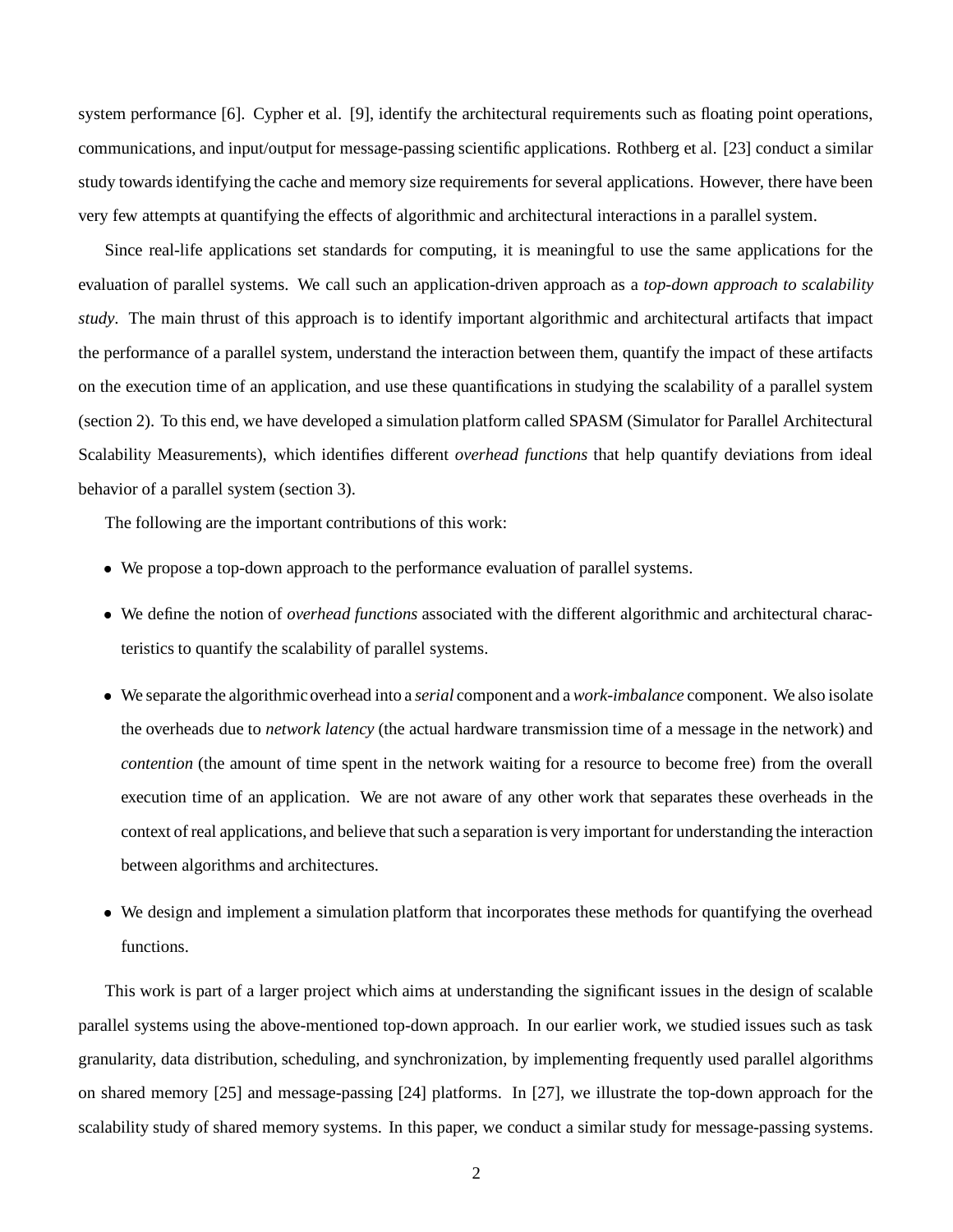system performance [6]. Cypher et al. [9], identify the architectural requirements such as floating point operations, communications, and input/output for message-passing scientific applications. Rothberg et al. [23] conduct a similar study towardsidentifying the cache and memory size requirements for several applications. However, there have been very few attempts at quantifying the effects of algorithmic and architectural interactions in a parallel system.

Since real-life applications set standards for computing, it is meaningful to use the same applications for the evaluation of parallel systems. We call such an application-driven approach as a *top-down approach to scalability study*. The main thrust of this approach is to identify important algorithmic and architectural artifacts that impact the performance of a parallel system, understand the interaction between them, quantify the impact of these artifacts on the execution time of an application, and use these quantifications in studying the scalability of a parallel system (section 2). To this end, we have developed a simulation platform called SPASM (Simulator for Parallel Architectural Scalability Measurements), which identifies different *overhead functions* that help quantify deviations from ideal behavior of a parallel system (section 3).

The following are the important contributions of this work:

- We propose a top-down approach to the performance evaluation of parallel systems.
- We define the notion of *overhead functions* associated with the different algorithmic and architectural characteristics to quantify the scalability of parallel systems.
- We separate the algorithmic overhead into a *serial* component and a *work-imbalance* component. We also isolate the overheads due to *network latency* (the actual hardware transmission time of a message in the network) and *contention* (the amount of time spent in the network waiting for a resource to become free) from the overall execution time of an application. We are not aware of any other work that separates these overheads in the context of real applications, and believe that such a separation is very important for understanding the interaction between algorithms and architectures.
- We design and implement a simulation platform that incorporates these methods for quantifying the overhead functions.

This work is part of a larger project which aims at understanding the significant issues in the design of scalable parallel systems using the above-mentioned top-down approach. In our earlier work, we studied issues such as task granularity, data distribution, scheduling, and synchronization, by implementing frequently used parallel algorithms on shared memory [25] and message-passing [24] platforms. In [27], we illustrate the top-down approach for the scalability study of shared memory systems. In this paper, we conduct a similar study for message-passing systems.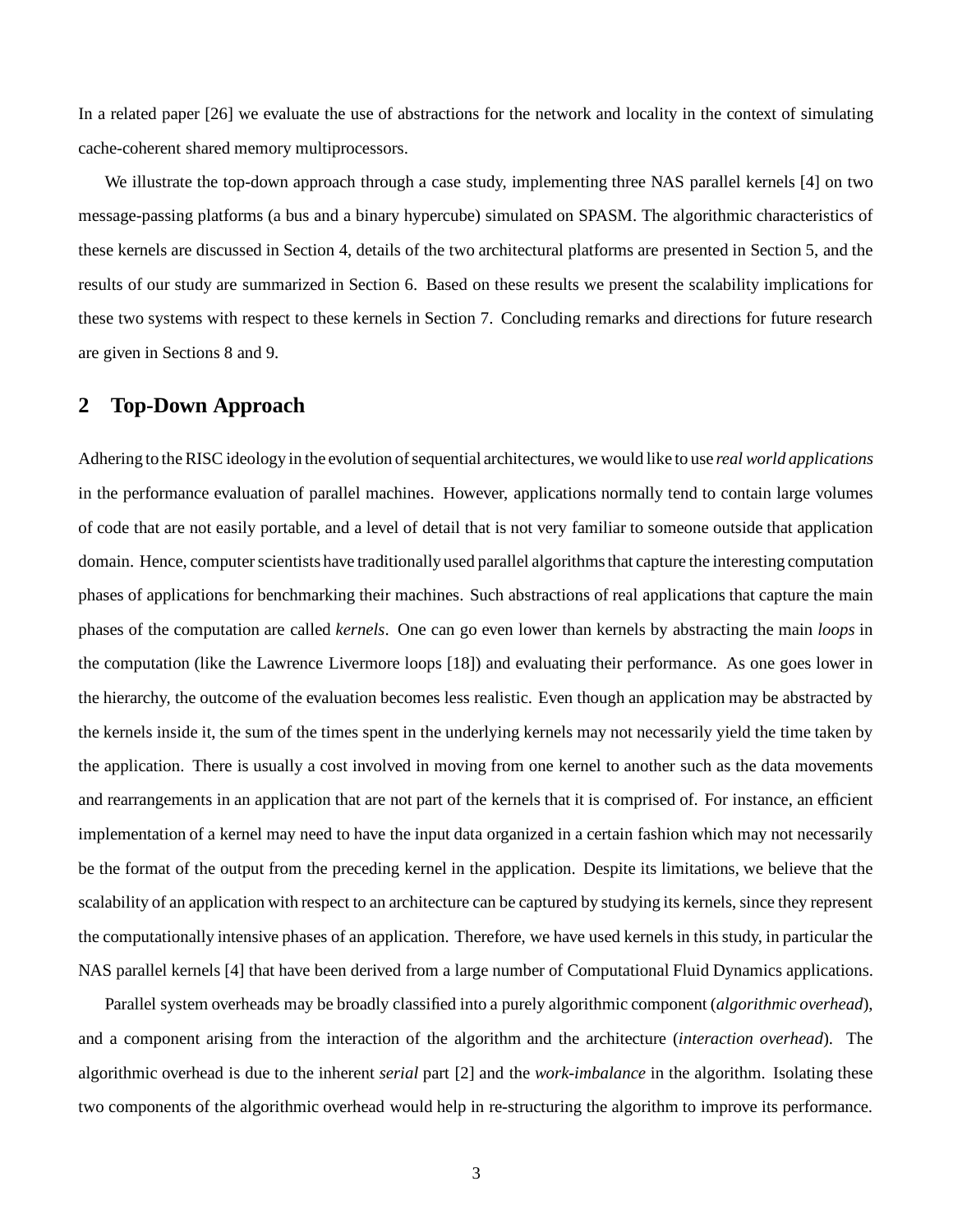In a related paper [26] we evaluate the use of abstractions for the network and locality in the context of simulating cache-coherent shared memory multiprocessors.

We illustrate the top-down approach through a case study, implementing three NAS parallel kernels [4] on two message-passing platforms (a bus and a binary hypercube) simulated on SPASM. The algorithmic characteristics of these kernels are discussed in Section 4, details of the two architectural platforms are presented in Section 5, and the results of our study are summarized in Section 6. Based on these results we present the scalability implications for these two systems with respect to these kernels in Section 7. Concluding remarks and directions for future research are given in Sections 8 and 9.

## **2 Top-Down Approach**

Adhering to the RISC ideology in the evolution ofsequential architectures, we would like to use *real world applications* in the performance evaluation of parallel machines. However, applications normally tend to contain large volumes of code that are not easily portable, and a level of detail that is not very familiar to someone outside that application domain. Hence, computer scientists have traditionally used parallel algorithms that capture the interesting computation phases of applications for benchmarking their machines. Such abstractions of real applications that capture the main phases of the computation are called *kernels*. One can go even lower than kernels by abstracting the main *loops* in the computation (like the Lawrence Livermore loops [18]) and evaluating their performance. As one goes lower in the hierarchy, the outcome of the evaluation becomes less realistic. Even though an application may be abstracted by the kernels inside it, the sum of the times spent in the underlying kernels may not necessarily yield the time taken by the application. There is usually a cost involved in moving from one kernel to another such as the data movements and rearrangements in an application that are not part of the kernels that it is comprised of. For instance, an efficient implementation of a kernel may need to have the input data organized in a certain fashion which may not necessarily be the format of the output from the preceding kernel in the application. Despite its limitations, we believe that the scalability of an application with respect to an architecture can be captured by studying its kernels, since they represent the computationally intensive phases of an application. Therefore, we have used kernels in this study, in particular the NAS parallel kernels [4] that have been derived from a large number of Computational Fluid Dynamics applications.

Parallel system overheads may be broadly classified into a purely algorithmic component (*algorithmic overhead*), and a component arising from the interaction of the algorithm and the architecture (*interaction overhead*). The algorithmic overhead is due to the inherent *serial* part [2] and the *work-imbalance* in the algorithm. Isolating these two components of the algorithmic overhead would help in re-structuring the algorithm to improve its performance.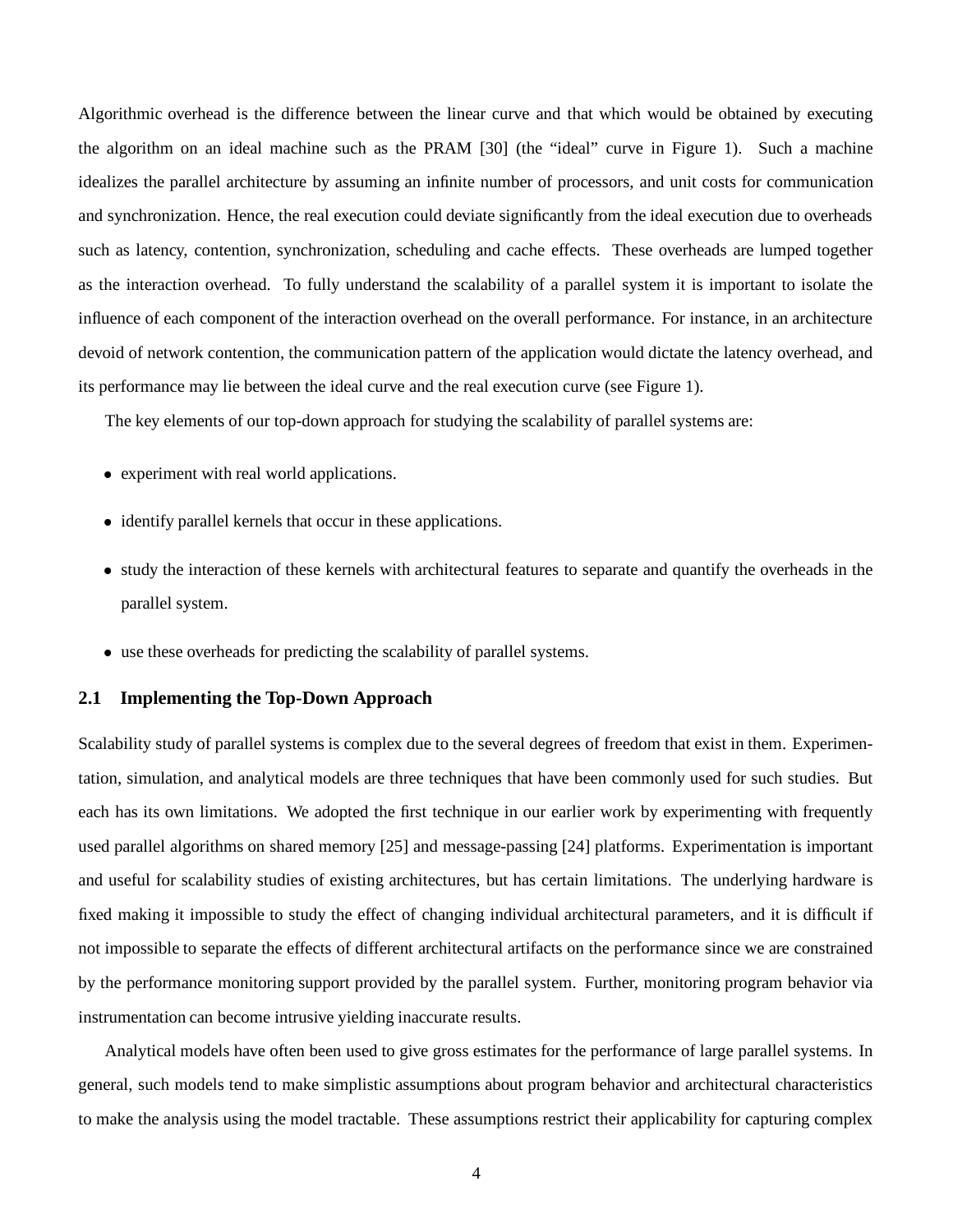Algorithmic overhead is the difference between the linear curve and that which would be obtained by executing the algorithm on an ideal machine such as the PRAM [30] (the "ideal" curve in Figure 1). Such a machine idealizes the parallel architecture by assuming an infinite number of processors, and unit costs for communication and synchronization. Hence, the real execution could deviate significantly from the ideal execution due to overheads such as latency, contention, synchronization, scheduling and cache effects. These overheads are lumped together as the interaction overhead. To fully understand the scalability of a parallel system it is important to isolate the influence of each component of the interaction overhead on the overall performance. For instance, in an architecture devoid of network contention, the communication pattern of the application would dictate the latency overhead, and its performance may lie between the ideal curve and the real execution curve (see Figure 1).

The key elements of our top-down approach for studying the scalability of parallel systems are:

- experiment with real world applications.
- identify parallel kernels that occur in these applications.
- study the interaction of these kernels with architectural features to separate and quantify the overheads in the parallel system.
- use these overheads for predicting the scalability of parallel systems.

#### **2.1 Implementing the Top-Down Approach**

Scalability study of parallel systems is complex due to the several degrees of freedom that exist in them. Experimentation, simulation, and analytical models are three techniques that have been commonly used for such studies. But each has its own limitations. We adopted the first technique in our earlier work by experimenting with frequently used parallel algorithms on shared memory [25] and message-passing [24] platforms. Experimentation is important and useful for scalability studies of existing architectures, but has certain limitations. The underlying hardware is fixed making it impossible to study the effect of changing individual architectural parameters, and it is difficult if not impossible to separate the effects of different architectural artifacts on the performance since we are constrained by the performance monitoring support provided by the parallel system. Further, monitoring program behavior via instrumentation can become intrusive yielding inaccurate results.

Analytical models have often been used to give gross estimates for the performance of large parallel systems. In general, such models tend to make simplistic assumptions about program behavior and architectural characteristics to make the analysis using the model tractable. These assumptions restrict their applicability for capturing complex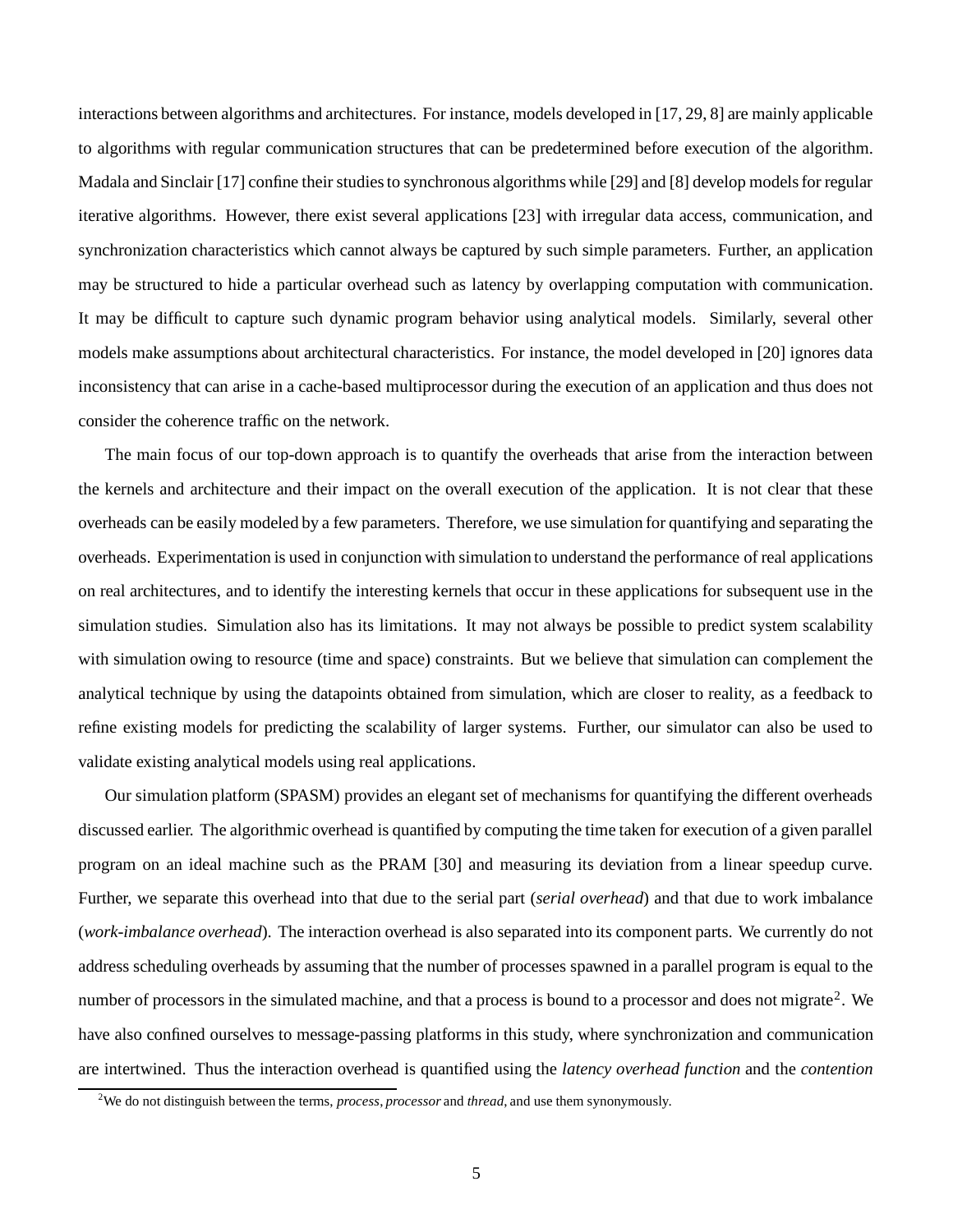interactions between algorithms and architectures. For instance, models developed in [17, 29, 8] are mainly applicable to algorithms with regular communication structures that can be predetermined before execution of the algorithm. Madala and Sinclair [17] confine their studies to synchronous algorithms while [29] and [8] develop models for regular iterative algorithms. However, there exist several applications [23] with irregular data access, communication, and synchronization characteristics which cannot always be captured by such simple parameters. Further, an application may be structured to hide a particular overhead such as latency by overlapping computation with communication. It may be difficult to capture such dynamic program behavior using analytical models. Similarly, several other models make assumptions about architectural characteristics. For instance, the model developed in [20] ignores data inconsistency that can arise in a cache-based multiprocessor during the execution of an application and thus does not consider the coherence traffic on the network.

The main focus of our top-down approach is to quantify the overheads that arise from the interaction between the kernels and architecture and their impact on the overall execution of the application. It is not clear that these overheads can be easily modeled by a few parameters. Therefore, we use simulation for quantifying and separating the overheads. Experimentation is used in conjunction with simulation to understand the performance of real applications on real architectures, and to identify the interesting kernels that occur in these applications for subsequent use in the simulation studies. Simulation also has its limitations. It may not always be possible to predict system scalability with simulation owing to resource (time and space) constraints. But we believe that simulation can complement the analytical technique by using the datapoints obtained from simulation, which are closer to reality, as a feedback to refine existing models for predicting the scalability of larger systems. Further, our simulator can also be used to validate existing analytical models using real applications.

Our simulation platform (SPASM) provides an elegant set of mechanisms for quantifying the different overheads discussed earlier. The algorithmic overhead is quantified by computing the time taken for execution of a given parallel program on an ideal machine such as the PRAM [30] and measuring its deviation from a linear speedup curve. Further, we separate this overhead into that due to the serial part (*serial overhead*) and that due to work imbalance (*work-imbalance overhead*). The interaction overhead is also separated into its component parts. We currently do not address scheduling overheads by assuming that the number of processes spawned in a parallel program is equal to the number of processors in the simulated machine, and that a process is bound to a processor and does not migrate<sup>2</sup>. We have also confined ourselves to message-passing platforms in this study, where synchronization and communication are intertwined. Thus the interaction overhead is quantified using the *latency overhead function* and the *contention*

<sup>2</sup>We do not distinguish between the terms, *process*, *processor* and *thread*, and use them synonymously.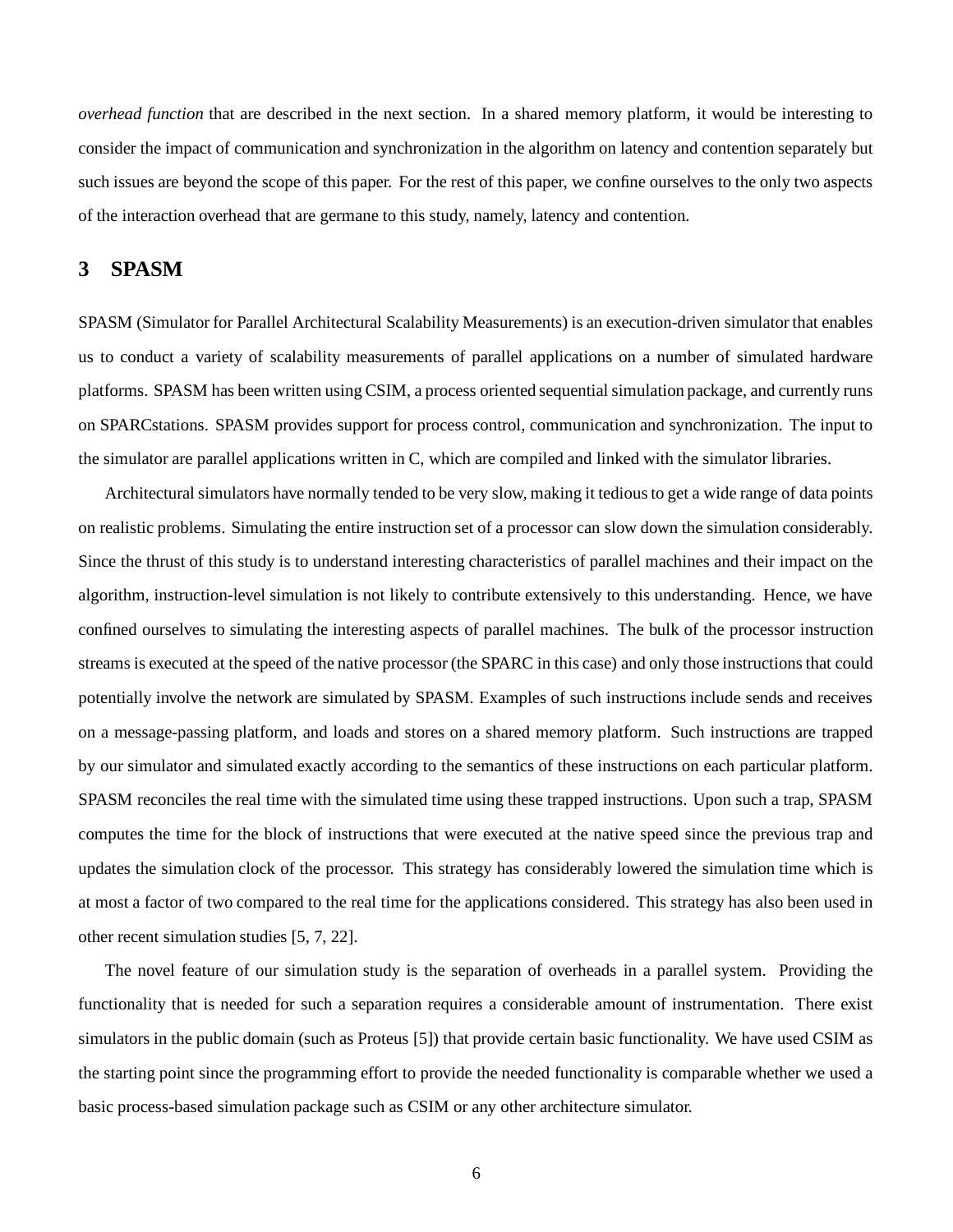*overhead function* that are described in the next section. In a shared memory platform, it would be interesting to consider the impact of communication and synchronization in the algorithm on latency and contention separately but such issues are beyond the scope of this paper. For the rest of this paper, we confine ourselves to the only two aspects of the interaction overhead that are germane to this study, namely, latency and contention.

## **3 SPASM**

SPASM (Simulator for Parallel Architectural Scalability Measurements) is an execution-driven simulator that enables us to conduct a variety of scalability measurements of parallel applications on a number of simulated hardware platforms. SPASM has been written using CSIM, a process oriented sequential simulation package, and currently runs on SPARCstations. SPASM provides support for process control, communication and synchronization. The input to the simulator are parallel applications written in C, which are compiled and linked with the simulator libraries.

Architectural simulators have normally tended to be very slow, making it tediousto get a wide range of data points on realistic problems. Simulating the entire instruction set of a processor can slow down the simulation considerably. Since the thrust of this study is to understand interesting characteristics of parallel machines and their impact on the algorithm, instruction-level simulation is not likely to contribute extensively to this understanding. Hence, we have confined ourselves to simulating the interesting aspects of parallel machines. The bulk of the processor instruction streams is executed at the speed of the native processor (the SPARC in this case) and only those instructionsthat could potentially involve the network are simulated by SPASM. Examples of such instructions include sends and receives on a message-passing platform, and loads and stores on a shared memory platform. Such instructions are trapped by our simulator and simulated exactly according to the semantics of these instructions on each particular platform. SPASM reconciles the real time with the simulated time using these trapped instructions. Upon such a trap, SPASM computes the time for the block of instructions that were executed at the native speed since the previous trap and updates the simulation clock of the processor. This strategy has considerably lowered the simulation time which is at most a factor of two compared to the real time for the applications considered. This strategy has also been used in other recent simulation studies [5, 7, 22].

The novel feature of our simulation study is the separation of overheads in a parallel system. Providing the functionality that is needed for such a separation requires a considerable amount of instrumentation. There exist simulators in the public domain (such as Proteus [5]) that provide certain basic functionality. We have used CSIM as the starting point since the programming effort to provide the needed functionality is comparable whether we used a basic process-based simulation package such as CSIM or any other architecture simulator.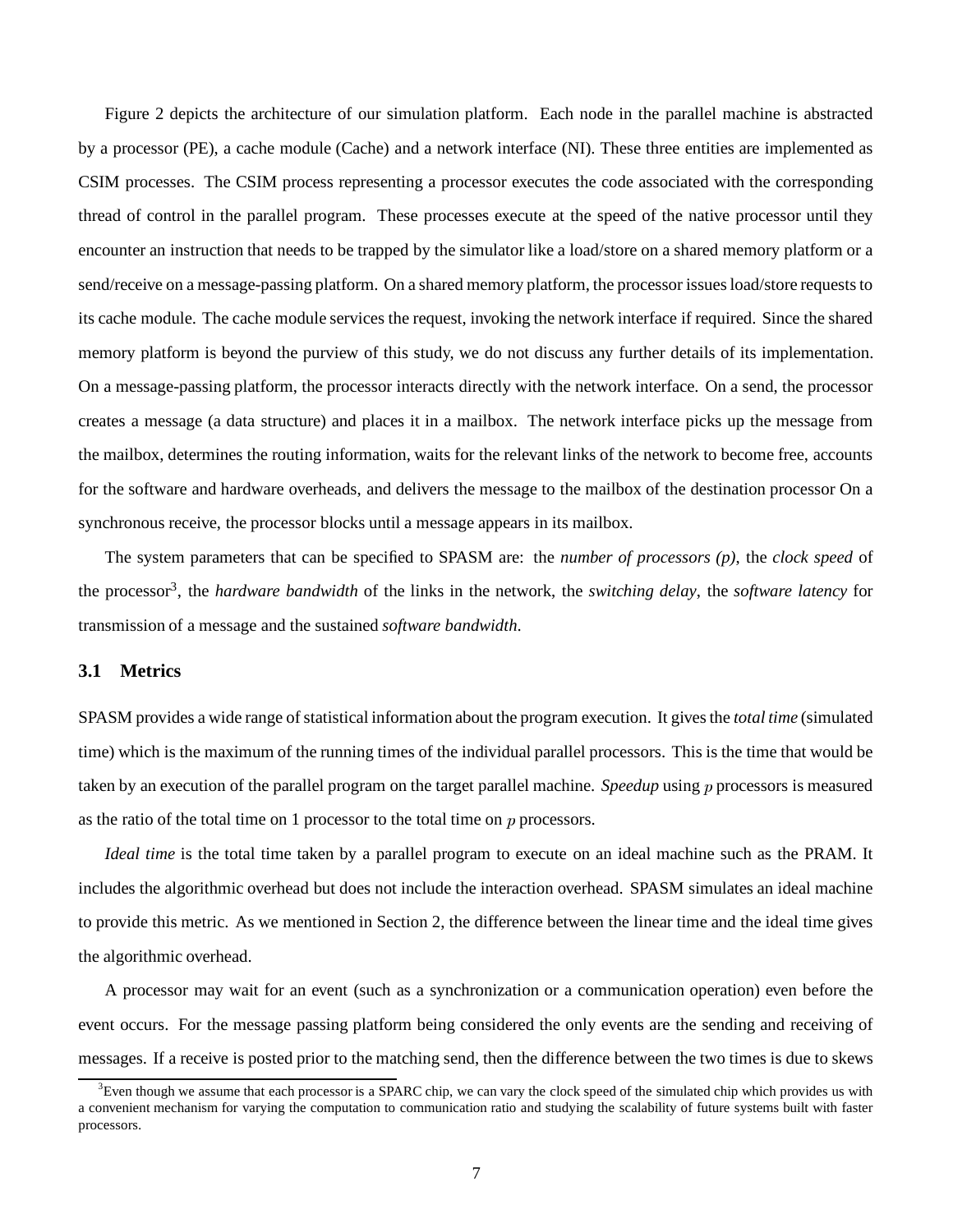Figure 2 depicts the architecture of our simulation platform. Each node in the parallel machine is abstracted by a processor (PE), a cache module (Cache) and a network interface (NI). These three entities are implemented as CSIM processes. The CSIM process representing a processor executes the code associated with the corresponding thread of control in the parallel program. These processes execute at the speed of the native processor until they encounter an instruction that needs to be trapped by the simulator like a load/store on a shared memory platform or a send/receive on a message-passing platform. On a shared memory platform, the processor issues load/store requests to its cache module. The cache module services the request, invoking the network interface if required. Since the shared memory platform is beyond the purview of this study, we do not discuss any further details of its implementation. On a message-passing platform, the processor interacts directly with the network interface. On a send, the processor creates a message (a data structure) and places it in a mailbox. The network interface picks up the message from the mailbox, determines the routing information, waits for the relevant links of the network to become free, accounts for the software and hardware overheads, and delivers the message to the mailbox of the destination processor On a synchronous receive, the processor blocks until a message appears in its mailbox.

The system parameters that can be specified to SPASM are: the *number of processors (p)*, the *clock speed* of the processor<sup>3</sup> , the *hardware bandwidth* of the links in the network, the *switching delay*, the *software latency* for transmission of a message and the sustained *software bandwidth*.

#### **3.1 Metrics**

SPASM provides a wide range of statistical information about the program execution. It givesthe *total time* (simulated time) which is the maximum of the running times of the individual parallel processors. This is the time that would be taken by an execution of the parallel program on the target parallel machine. *Speedup* using processors is measured as the ratio of the total time on 1 processor to the total time on  $p$  processors.

*Ideal time* is the total time taken by a parallel program to execute on an ideal machine such as the PRAM. It includes the algorithmic overhead but does not include the interaction overhead. SPASM simulates an ideal machine to provide this metric. As we mentioned in Section 2, the difference between the linear time and the ideal time gives the algorithmic overhead.

A processor may wait for an event (such as a synchronization or a communication operation) even before the event occurs. For the message passing platform being considered the only events are the sending and receiving of messages. If a receive is posted prior to the matching send, then the difference between the two times is due to skews

 $3E$ ven though we assume that each processor is a SPARC chip, we can vary the clock speed of the simulated chip which provides us with a convenient mechanism for varying the computation to communication ratio and studying the scalability of future systems built with faster processors.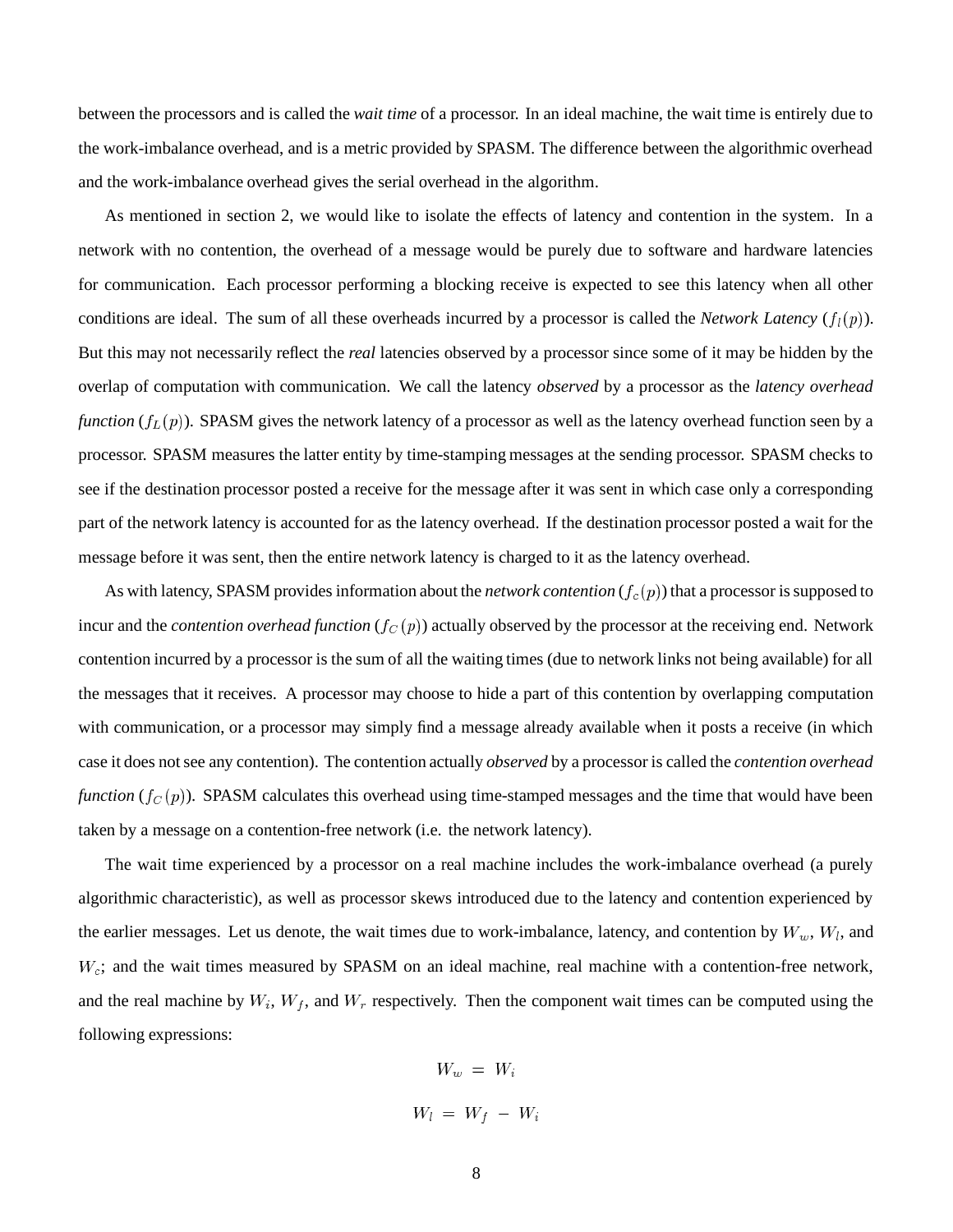between the processors and is called the *wait time* of a processor. In an ideal machine, the wait time is entirely due to the work-imbalance overhead, and is a metric provided by SPASM. The difference between the algorithmic overhead and the work-imbalance overhead gives the serial overhead in the algorithm.

As mentioned in section 2, we would like to isolate the effects of latency and contention in the system. In a network with no contention, the overhead of a message would be purely due to software and hardware latencies for communication. Each processor performing a blocking receive is expected to see this latency when all other conditions are ideal. The sum of all these overheads incurred by a processor is called the *Network Latency*  $(f_l(p))$ . But this may not necessarily reflect the *real* latencies observed by a processor since some of it may be hidden by the overlap of computation with communication. We call the latency *observed* by a processor as the *latency overhead function*  $(f_L(p))$ . SPASM gives the network latency of a processor as well as the latency overhead function seen by a processor. SPASM measures the latter entity by time-stamping messages at the sending processor. SPASM checks to see if the destination processor posted a receive for the message after it was sent in which case only a corresponding part of the network latency is accounted for as the latency overhead. If the destination processor posted a wait for the message before it was sent, then the entire network latency is charged to it as the latency overhead.

As with latency, SPASM provides information about the *network contention*  $(f_c(p))$  that a processor is supposed to incur and the *contention overhead function*  $(f_C(p))$  actually observed by the processor at the receiving end. Network contention incurred by a processor is the sum of all the waiting times (due to network links not being available) for all the messages that it receives. A processor may choose to hide a part of this contention by overlapping computation with communication, or a processor may simply find a message already available when it posts a receive (in which case it does notsee any contention). The contention actually *observed* by a processor is called the *contention overhead function*  $(f_C(p))$ . SPASM calculates this overhead using time-stamped messages and the time that would have been taken by a message on a contention-free network (i.e. the network latency).

The wait time experienced by a processor on a real machine includes the work-imbalance overhead (a purely algorithmic characteristic), as well as processor skews introduced due to the latency and contention experienced by the earlier messages. Let us denote, the wait times due to work-imbalance, latency, and contention by  $W_w$ ,  $W_l$ , and  $W_c$ ; and the wait times measured by SPASM on an ideal machine, real machine with a contention-free network, and the real machine by  $W_i$ ,  $W_f$ , and  $W_r$  respectively. Then the component wait times can be computed using the following expressions:

> $W_w = W_i$  $W_l = W_f - W_i$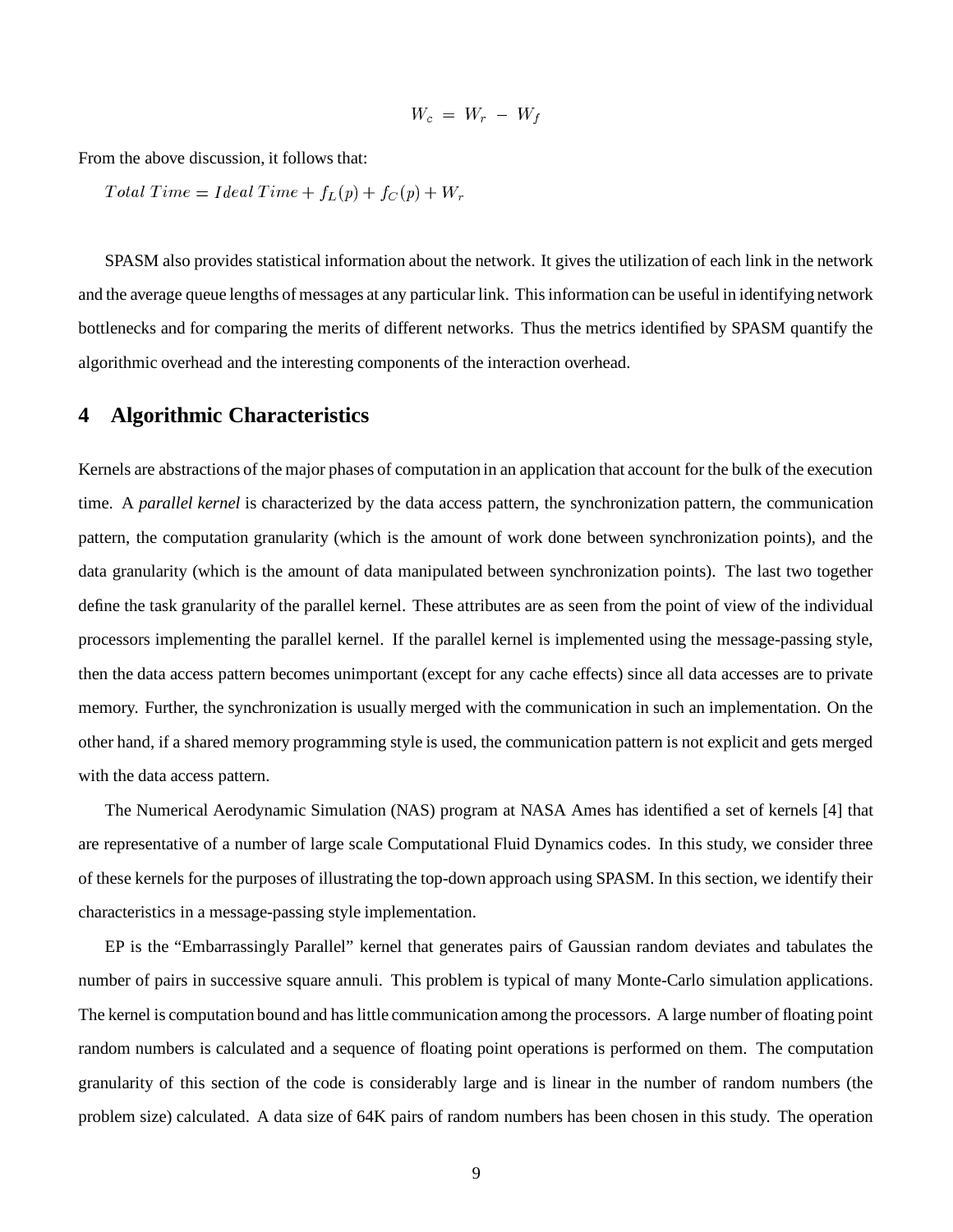$$
W_c = W_r - W_f
$$

From the above discussion, it follows that:

 $TotalTime = IdealTime + f<sub>L</sub>(p) + f<sub>C</sub>(p) + W<sub>r</sub>$ 

SPASM also provides statistical information about the network. It gives the utilization of each link in the network and the average queue lengths of messages at any particular link. Thisinformation can be useful in identifying network bottlenecks and for comparing the merits of different networks. Thus the metrics identified by SPASM quantify the algorithmic overhead and the interesting components of the interaction overhead.

## **4 Algorithmic Characteristics**

Kernels are abstractions of the major phases of computation in an application that account for the bulk of the execution time. A *parallel kernel* is characterized by the data access pattern, the synchronization pattern, the communication pattern, the computation granularity (which is the amount of work done between synchronization points), and the data granularity (which is the amount of data manipulated between synchronization points). The last two together define the task granularity of the parallel kernel. These attributes are as seen from the point of view of the individual processors implementing the parallel kernel. If the parallel kernel is implemented using the message-passing style, then the data access pattern becomes unimportant (except for any cache effects) since all data accesses are to private memory. Further, the synchronization is usually merged with the communication in such an implementation. On the other hand, if a shared memory programming style is used, the communication pattern is not explicit and gets merged with the data access pattern.

The Numerical Aerodynamic Simulation (NAS) program at NASA Ames has identified a set of kernels [4] that are representative of a number of large scale Computational Fluid Dynamics codes. In this study, we consider three of these kernels for the purposes of illustrating the top-down approach using SPASM. In this section, we identify their characteristics in a message-passing style implementation.

EP is the "Embarrassingly Parallel" kernel that generates pairs of Gaussian random deviates and tabulates the number of pairs in successive square annuli. This problem is typical of many Monte-Carlo simulation applications. The kernel is computation bound and has little communication among the processors. A large number of floating point random numbers is calculated and a sequence of floating point operations is performed on them. The computation granularity of this section of the code is considerably large and is linear in the number of random numbers (the problem size) calculated. A data size of 64K pairs of random numbers has been chosen in this study. The operation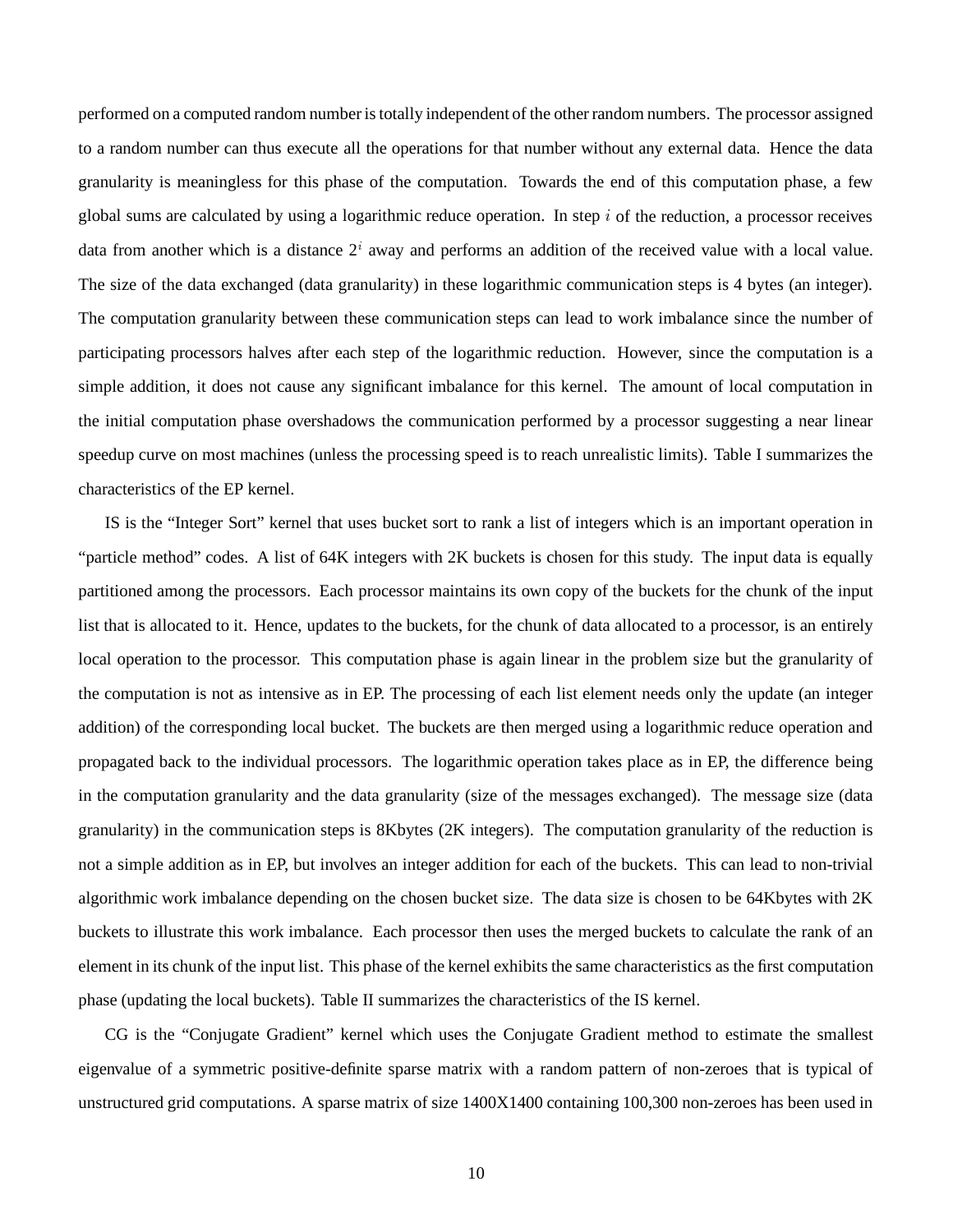performed on a computed random number istotally independent of the other random numbers. The processor assigned to a random number can thus execute all the operations for that number without any external data. Hence the data granularity is meaningless for this phase of the computation. Towards the end of this computation phase, a few global sums are calculated by using a logarithmic reduce operation. In step  $i$  of the reduction, a processor receives data from another which is a distance  $2<sup>i</sup>$  away and performs an addition of the received value with a local value. The size of the data exchanged (data granularity) in these logarithmic communication steps is 4 bytes (an integer). The computation granularity between these communication steps can lead to work imbalance since the number of participating processors halves after each step of the logarithmic reduction. However, since the computation is a simple addition, it does not cause any significant imbalance for this kernel. The amount of local computation in the initial computation phase overshadows the communication performed by a processor suggesting a near linear speedup curve on most machines (unless the processing speed is to reach unrealistic limits). Table I summarizes the characteristics of the EP kernel.

IS is the "Integer Sort" kernel that uses bucket sort to rank a list of integers which is an important operation in "particle method" codes. A list of 64K integers with 2K buckets is chosen for this study. The input data is equally partitioned among the processors. Each processor maintains its own copy of the buckets for the chunk of the input list that is allocated to it. Hence, updates to the buckets, for the chunk of data allocated to a processor, is an entirely local operation to the processor. This computation phase is again linear in the problem size but the granularity of the computation is not as intensive as in EP. The processing of each list element needs only the update (an integer addition) of the corresponding local bucket. The buckets are then merged using a logarithmic reduce operation and propagated back to the individual processors. The logarithmic operation takes place as in EP, the difference being in the computation granularity and the data granularity (size of the messages exchanged). The message size (data granularity) in the communication steps is 8Kbytes (2K integers). The computation granularity of the reduction is not a simple addition as in EP, but involves an integer addition for each of the buckets. This can lead to non-trivial algorithmic work imbalance depending on the chosen bucket size. The data size is chosen to be 64Kbytes with 2K buckets to illustrate this work imbalance. Each processor then uses the merged buckets to calculate the rank of an element in its chunk of the input list. This phase of the kernel exhibits the same characteristics as the first computation phase (updating the local buckets). Table II summarizes the characteristics of the IS kernel.

CG is the "Conjugate Gradient" kernel which uses the Conjugate Gradient method to estimate the smallest eigenvalue of a symmetric positive-definite sparse matrix with a random pattern of non-zeroes that is typical of unstructured grid computations. A sparse matrix of size 1400X1400 containing 100,300 non-zeroes has been used in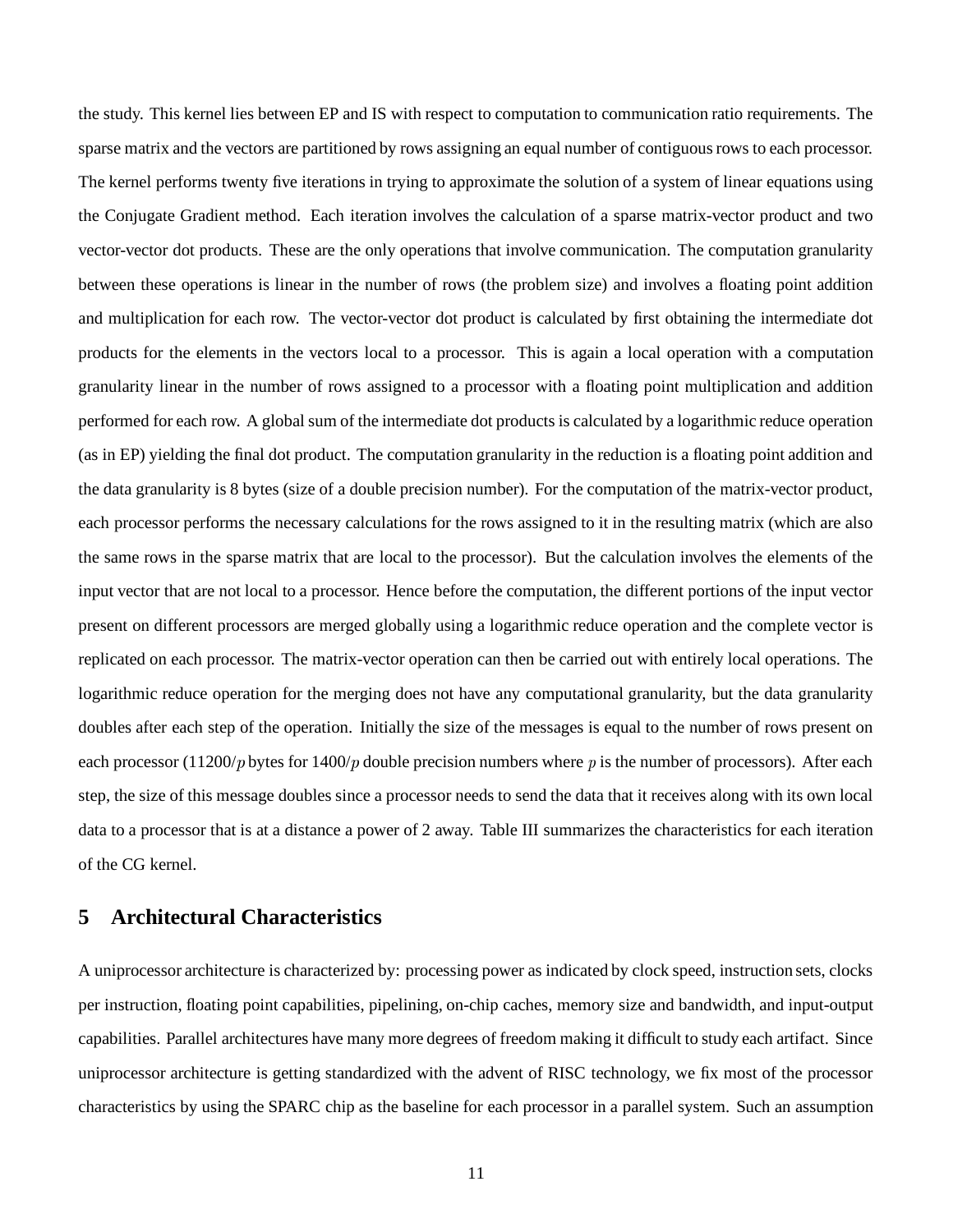the study. This kernel lies between EP and IS with respect to computation to communication ratio requirements. The sparse matrix and the vectors are partitioned by rows assigning an equal number of contiguous rows to each processor. The kernel performs twenty five iterations in trying to approximate the solution of a system of linear equations using the Conjugate Gradient method. Each iteration involves the calculation of a sparse matrix-vector product and two vector-vector dot products. These are the only operations that involve communication. The computation granularity between these operations is linear in the number of rows (the problem size) and involves a floating point addition and multiplication for each row. The vector-vector dot product is calculated by first obtaining the intermediate dot products for the elements in the vectors local to a processor. This is again a local operation with a computation granularity linear in the number of rows assigned to a processor with a floating point multiplication and addition performed for each row. A global sum of the intermediate dot products is calculated by a logarithmic reduce operation (as in EP) yielding the final dot product. The computation granularity in the reduction is a floating point addition and the data granularity is 8 bytes (size of a double precision number). For the computation of the matrix-vector product, each processor performs the necessary calculations for the rows assigned to it in the resulting matrix (which are also the same rows in the sparse matrix that are local to the processor). But the calculation involves the elements of the input vector that are not local to a processor. Hence before the computation, the different portions of the input vector present on different processors are merged globally using a logarithmic reduce operation and the complete vector is replicated on each processor. The matrix-vector operation can then be carried out with entirely local operations. The logarithmic reduce operation for the merging does not have any computational granularity, but the data granularity doubles after each step of the operation. Initially the size of the messages is equal to the number of rows present on each processor (11200/p bytes for 1400/p double precision numbers where p is the number of processors). After each step, the size of this message doubles since a processor needs to send the data that it receives along with its own local data to a processor that is at a distance a power of 2 away. Table III summarizes the characteristics for each iteration of the CG kernel.

## **5 Architectural Characteristics**

A uniprocessor architecture is characterized by: processing power as indicated by clock speed, instruction sets, clocks per instruction, floating point capabilities, pipelining, on-chip caches, memory size and bandwidth, and input-output capabilities. Parallel architectures have many more degrees of freedom making it difficult to study each artifact. Since uniprocessor architecture is getting standardized with the advent of RISC technology, we fix most of the processor characteristics by using the SPARC chip as the baseline for each processor in a parallel system. Such an assumption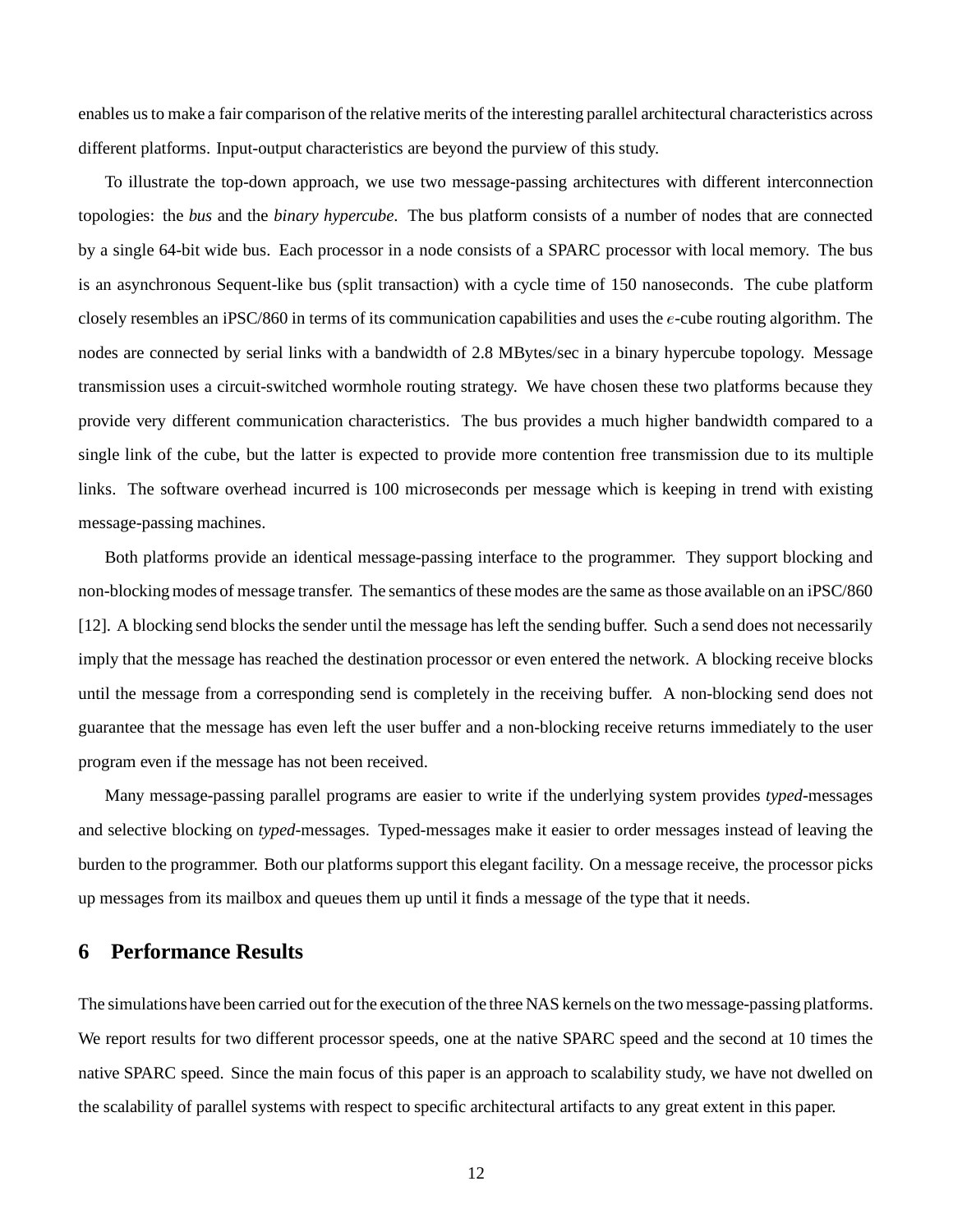enables usto make a fair comparison of the relative merits of the interesting parallel architectural characteristics across different platforms. Input-output characteristics are beyond the purview of this study.

To illustrate the top-down approach, we use two message-passing architectures with different interconnection topologies: the *bus* and the *binary hypercube*. The bus platform consists of a number of nodes that are connected by a single 64-bit wide bus. Each processor in a node consists of a SPARC processor with local memory. The bus is an asynchronous Sequent-like bus (split transaction) with a cycle time of 150 nanoseconds. The cube platform closely resembles an iPSC/860 in terms of its communication capabilities and uses the  $e$ -cube routing algorithm. The nodes are connected by serial links with a bandwidth of 2.8 MBytes/sec in a binary hypercube topology. Message transmission uses a circuit-switched wormhole routing strategy. We have chosen these two platforms because they provide very different communication characteristics. The bus provides a much higher bandwidth compared to a single link of the cube, but the latter is expected to provide more contention free transmission due to its multiple links. The software overhead incurred is 100 microseconds per message which is keeping in trend with existing message-passing machines.

Both platforms provide an identical message-passing interface to the programmer. They support blocking and non-blocking modes of message transfer. The semantics of these modes are the same as those available on an iPSC/860 [12]. A blocking send blocks the sender until the message has left the sending buffer. Such a send does not necessarily imply that the message has reached the destination processor or even entered the network. A blocking receive blocks until the message from a corresponding send is completely in the receiving buffer. A non-blocking send does not guarantee that the message has even left the user buffer and a non-blocking receive returns immediately to the user program even if the message has not been received.

Many message-passing parallel programs are easier to write if the underlying system provides *typed*-messages and selective blocking on *typed*-messages. Typed-messages make it easier to order messages instead of leaving the burden to the programmer. Both our platforms support this elegant facility. On a message receive, the processor picks up messages from its mailbox and queues them up until it finds a message of the type that it needs.

## **6 Performance Results**

The simulations have been carried out for the execution of the three NAS kernels on the two message-passing platforms. We report results for two different processor speeds, one at the native SPARC speed and the second at 10 times the native SPARC speed. Since the main focus of this paper is an approach to scalability study, we have not dwelled on the scalability of parallel systems with respect to specific architectural artifacts to any great extent in this paper.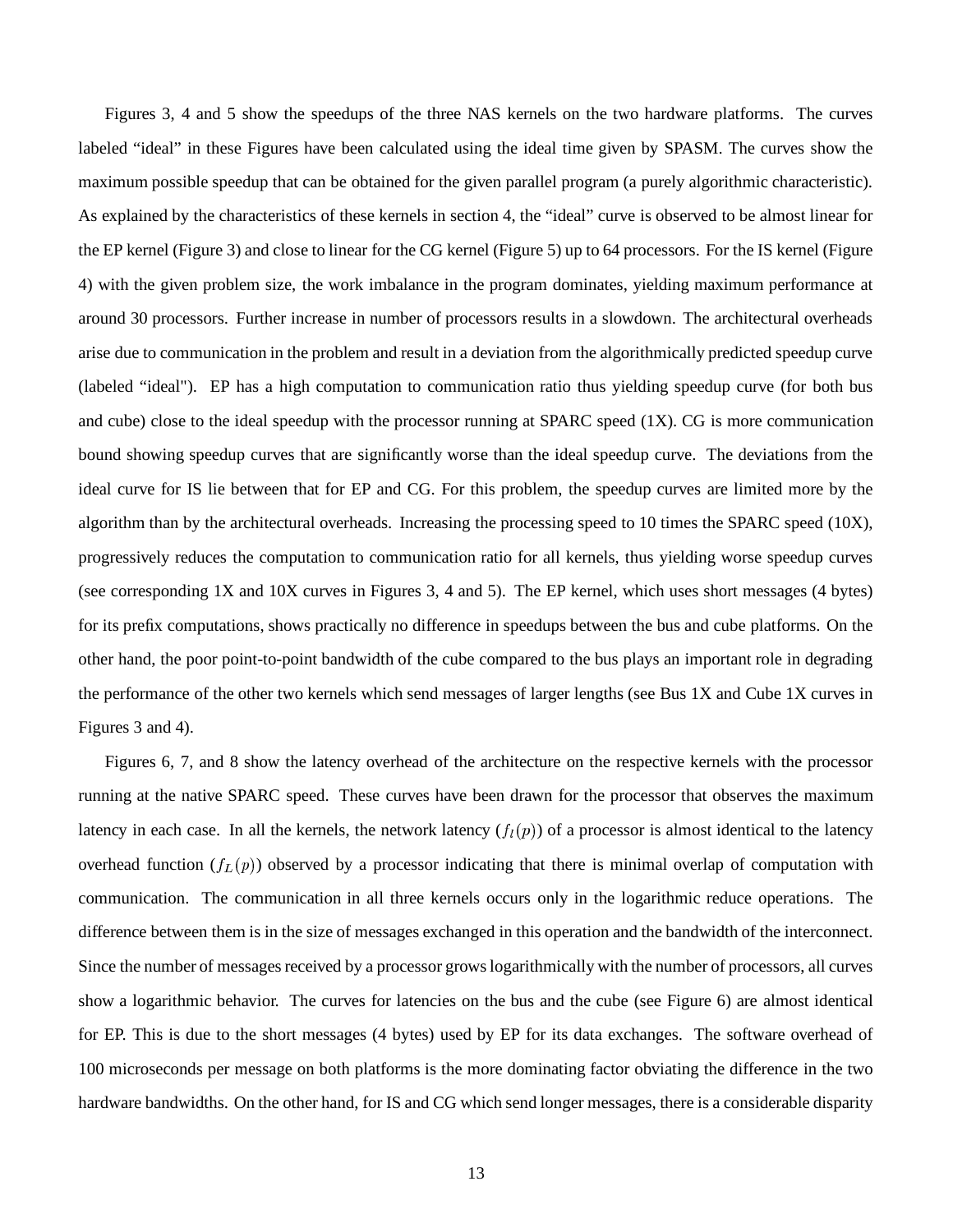Figures 3, 4 and 5 show the speedups of the three NAS kernels on the two hardware platforms. The curves labeled "ideal" in these Figures have been calculated using the ideal time given by SPASM. The curves show the maximum possible speedup that can be obtained for the given parallel program (a purely algorithmic characteristic). As explained by the characteristics of these kernels in section 4, the "ideal" curve is observed to be almost linear for the EP kernel (Figure 3) and close to linear for the CG kernel (Figure 5) up to 64 processors. For the IS kernel (Figure 4) with the given problem size, the work imbalance in the program dominates, yielding maximum performance at around 30 processors. Further increase in number of processors results in a slowdown. The architectural overheads arise due to communication in the problem and result in a deviation from the algorithmically predicted speedup curve (labeled "ideal"). EP has a high computation to communication ratio thus yielding speedup curve (for both bus and cube) close to the ideal speedup with the processor running at SPARC speed  $(1X)$ . CG is more communication bound showing speedup curves that are significantly worse than the ideal speedup curve. The deviations from the ideal curve for IS lie between that for EP and CG. For this problem, the speedup curves are limited more by the algorithm than by the architectural overheads. Increasing the processing speed to 10 times the SPARC speed (10X), progressively reduces the computation to communication ratio for all kernels, thus yielding worse speedup curves (see corresponding 1X and 10X curves in Figures 3, 4 and 5). The EP kernel, which uses short messages (4 bytes) for its prefix computations, shows practically no difference in speedups between the bus and cube platforms. On the other hand, the poor point-to-point bandwidth of the cube compared to the bus plays an important role in degrading the performance of the other two kernels which send messages of larger lengths (see Bus 1X and Cube 1X curves in Figures 3 and 4).

Figures 6, 7, and 8 show the latency overhead of the architecture on the respective kernels with the processor running at the native SPARC speed. These curves have been drawn for the processor that observes the maximum latency in each case. In all the kernels, the network latency  $(f_l(p))$  of a processor is almost identical to the latency overhead function  $(f_L(p))$  observed by a processor indicating that there is minimal overlap of computation with communication. The communication in all three kernels occurs only in the logarithmic reduce operations. The difference between them is in the size of messages exchanged in this operation and the bandwidth of the interconnect. Since the number of messages received by a processor grows logarithmically with the number of processors, all curves show a logarithmic behavior. The curves for latencies on the bus and the cube (see Figure 6) are almost identical for EP. This is due to the short messages (4 bytes) used by EP for its data exchanges. The software overhead of 100 microseconds per message on both platforms is the more dominating factor obviating the difference in the two hardware bandwidths. On the other hand, for IS and CG which send longer messages, there is a considerable disparity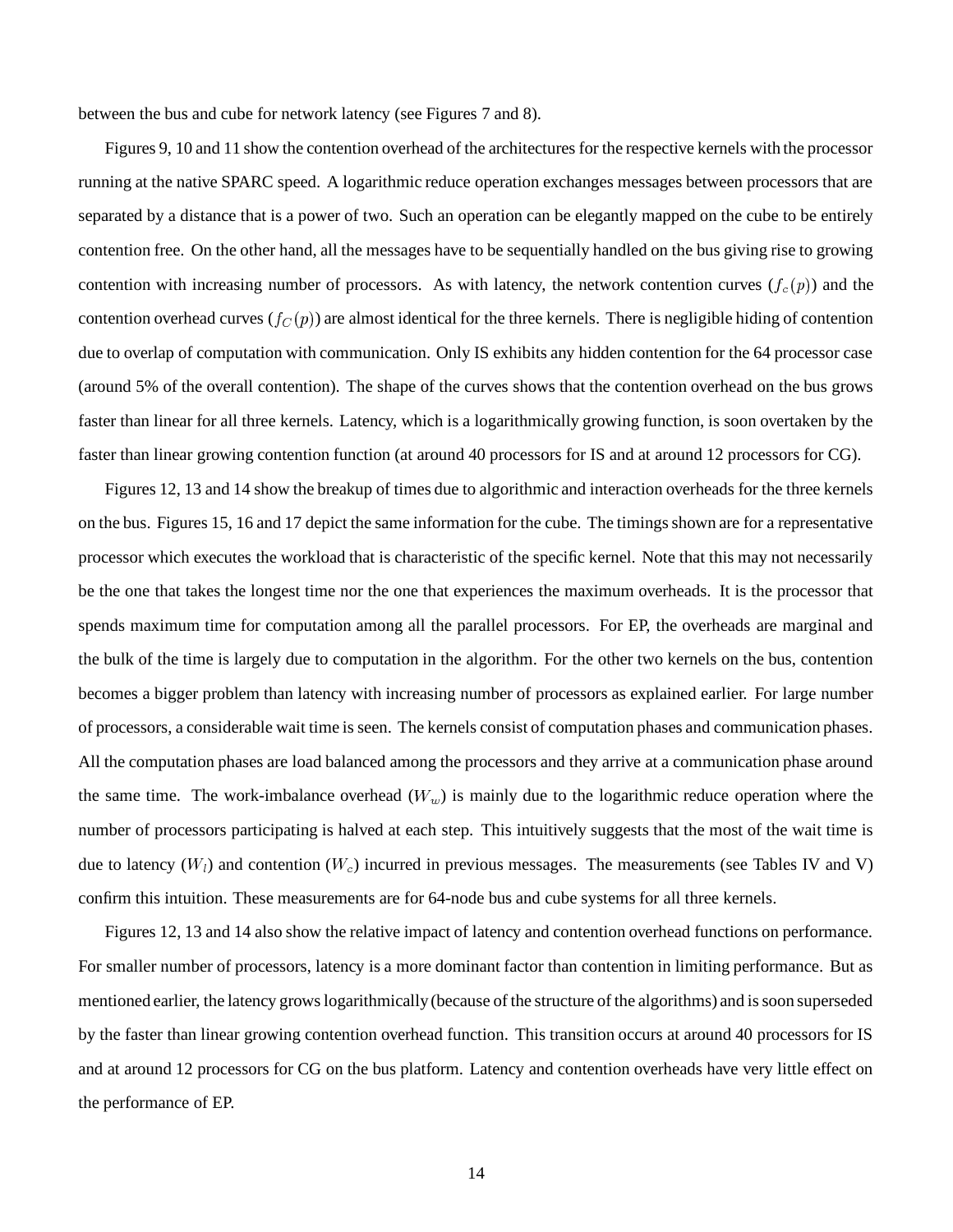between the bus and cube for network latency (see Figures 7 and 8).

Figures 9, 10 and 11 show the contention overhead of the architectures for the respective kernels with the processor running at the native SPARC speed. A logarithmic reduce operation exchanges messages between processors that are separated by a distance that is a power of two. Such an operation can be elegantly mapped on the cube to be entirely contention free. On the other hand, all the messages have to be sequentially handled on the bus giving rise to growing contention with increasing number of processors. As with latency, the network contention curves  $(f_c(p))$  and the contention overhead curves  $(f_C(p))$  are almost identical for the three kernels. There is negligible hiding of contention due to overlap of computation with communication. Only IS exhibits any hidden contention for the 64 processor case (around 5% of the overall contention). The shape of the curves shows that the contention overhead on the bus grows faster than linear for all three kernels. Latency, which is a logarithmically growing function, is soon overtaken by the faster than linear growing contention function (at around 40 processors for IS and at around 12 processors for CG).

Figures 12, 13 and 14 show the breakup of times due to algorithmic and interaction overheads for the three kernels on the bus. Figures 15, 16 and 17 depict the same information for the cube. The timingsshown are for a representative processor which executes the workload that is characteristic of the specific kernel. Note that this may not necessarily be the one that takes the longest time nor the one that experiences the maximum overheads. It is the processor that spends maximum time for computation among all the parallel processors. For EP, the overheads are marginal and the bulk of the time is largely due to computation in the algorithm. For the other two kernels on the bus, contention becomes a bigger problem than latency with increasing number of processors as explained earlier. For large number of processors, a considerable wait time is seen. The kernels consist of computation phases and communication phases. All the computation phases are load balanced among the processors and they arrive at a communication phase around the same time. The work-imbalance overhead  $(W_w)$  is mainly due to the logarithmic reduce operation where the number of processors participating is halved at each step. This intuitively suggests that the most of the wait time is due to latency ( $W_l$ ) and contention ( $W_c$ ) incurred in previous messages. The measurements (see Tables IV and V) confirm this intuition. These measurements are for 64-node bus and cube systems for all three kernels.

Figures 12, 13 and 14 also show the relative impact of latency and contention overhead functions on performance. For smaller number of processors, latency is a more dominant factor than contention in limiting performance. But as mentioned earlier, the latency growslogarithmically (because of the structure of the algorithms) and issoon superseded by the faster than linear growing contention overhead function. This transition occurs at around 40 processors for IS and at around 12 processors for CG on the bus platform. Latency and contention overheads have very little effect on the performance of EP.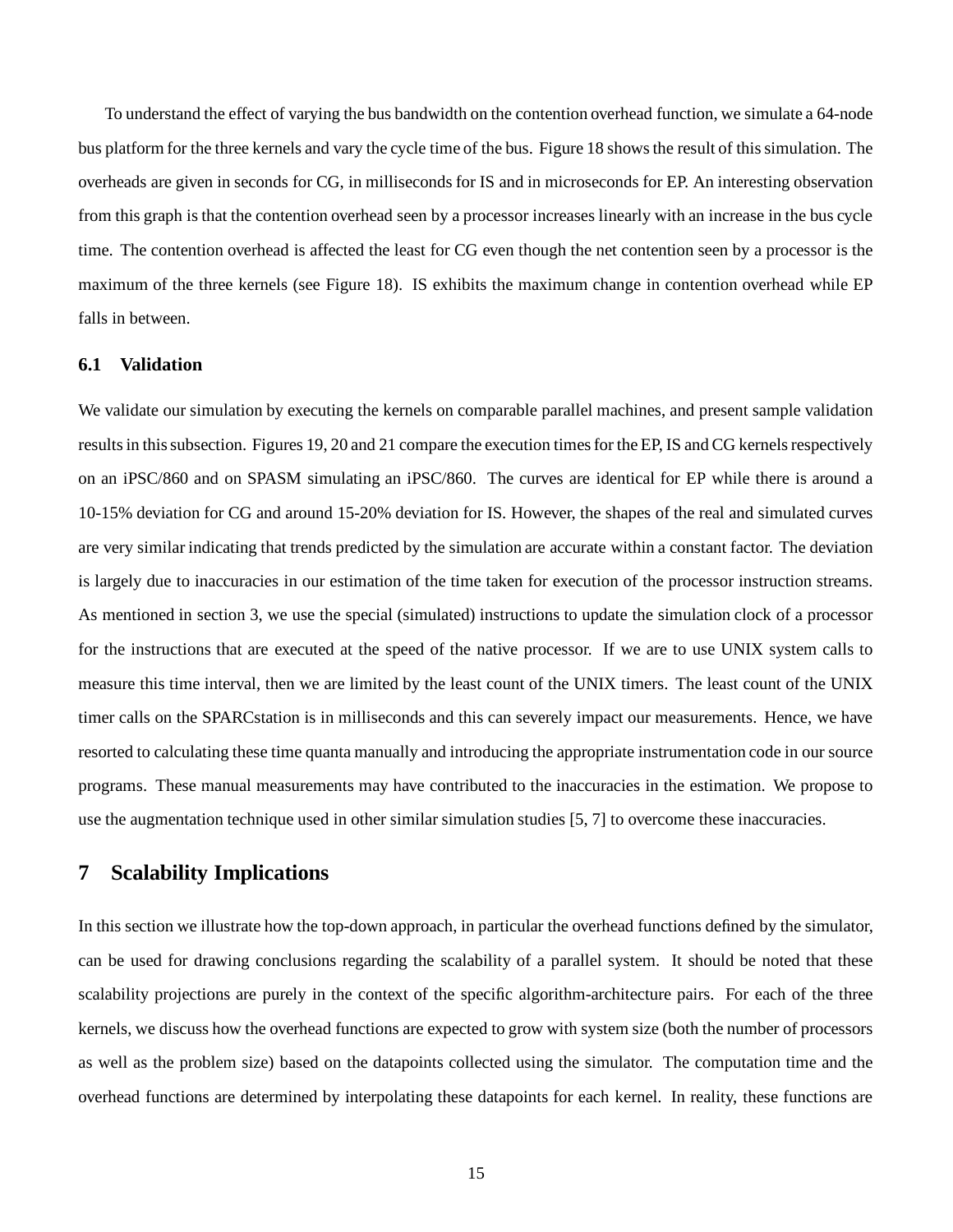To understand the effect of varying the bus bandwidth on the contention overhead function, we simulate a 64-node bus platform for the three kernels and vary the cycle time of the bus. Figure 18 showsthe result of thissimulation. The overheads are given in seconds for CG, in milliseconds for IS and in microseconds for EP. An interesting observation from this graph is that the contention overhead seen by a processor increases linearly with an increase in the bus cycle time. The contention overhead is affected the least for CG even though the net contention seen by a processor is the maximum of the three kernels (see Figure 18). IS exhibits the maximum change in contention overhead while EP falls in between.

#### **6.1 Validation**

We validate our simulation by executing the kernels on comparable parallel machines, and present sample validation results in this subsection. Figures 19, 20 and 21 compare the execution times for the EP, IS and CG kernels respectively on an iPSC/860 and on SPASM simulating an iPSC/860. The curves are identical for EP while there is around a 10-15% deviation for CG and around 15-20% deviation for IS. However, the shapes of the real and simulated curves are very similar indicating that trends predicted by the simulation are accurate within a constant factor. The deviation is largely due to inaccuracies in our estimation of the time taken for execution of the processor instruction streams. As mentioned in section 3, we use the special (simulated) instructions to update the simulation clock of a processor for the instructions that are executed at the speed of the native processor. If we are to use UNIX system calls to measure this time interval, then we are limited by the least count of the UNIX timers. The least count of the UNIX timer calls on the SPARCstation is in milliseconds and this can severely impact our measurements. Hence, we have resorted to calculating these time quanta manually and introducing the appropriate instrumentation code in our source programs. These manual measurements may have contributed to the inaccuracies in the estimation. We propose to use the augmentation technique used in other similar simulation studies [5, 7] to overcome these inaccuracies.

## **7 Scalability Implications**

In this section we illustrate how the top-down approach, in particular the overhead functions defined by the simulator, can be used for drawing conclusions regarding the scalability of a parallel system. It should be noted that these scalability projections are purely in the context of the specific algorithm-architecture pairs. For each of the three kernels, we discuss how the overhead functions are expected to grow with system size (both the number of processors as well as the problem size) based on the datapoints collected using the simulator. The computation time and the overhead functions are determined by interpolating these datapoints for each kernel. In reality, these functions are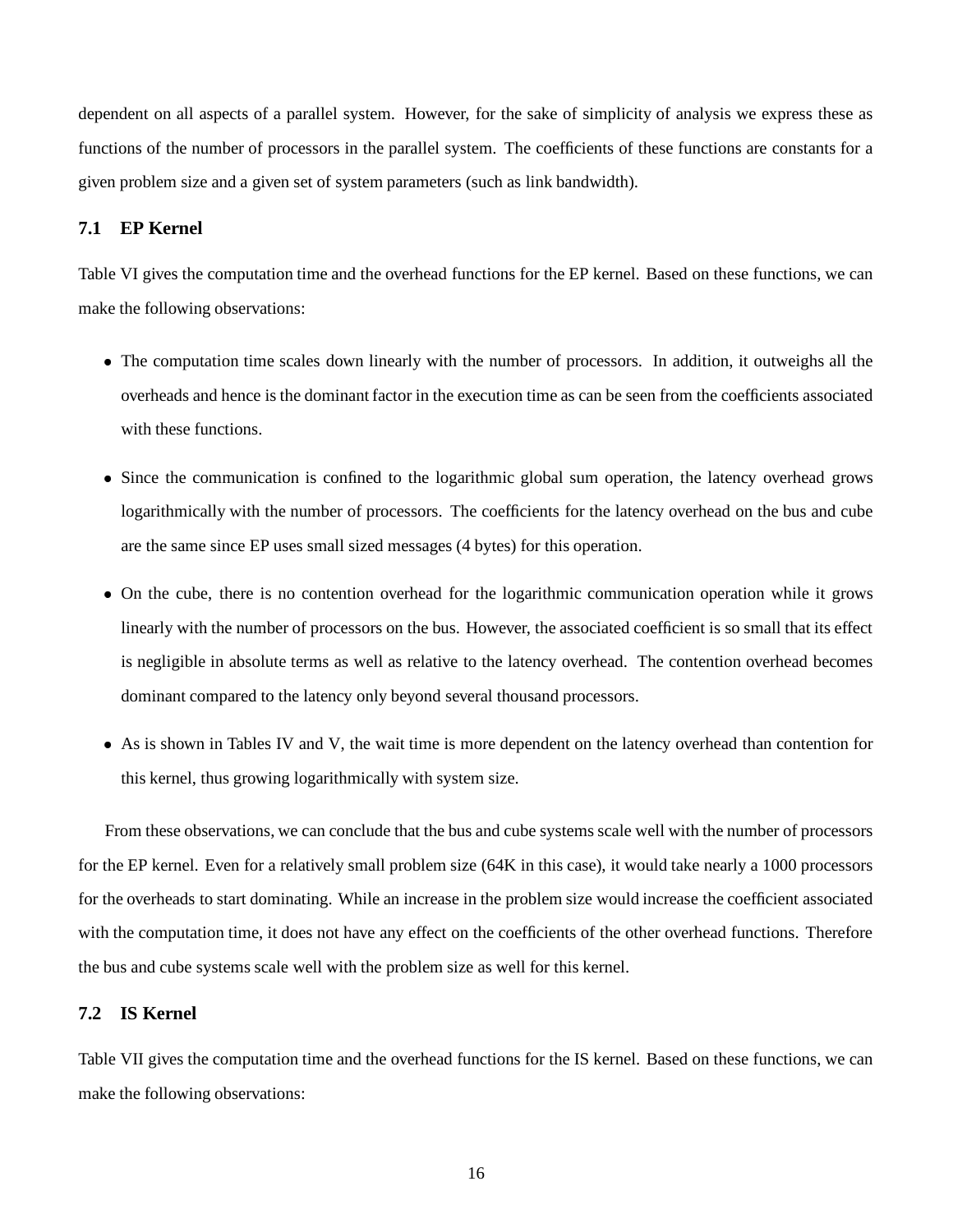dependent on all aspects of a parallel system. However, for the sake of simplicity of analysis we express these as functions of the number of processors in the parallel system. The coefficients of these functions are constants for a given problem size and a given set of system parameters (such as link bandwidth).

### **7.1 EP Kernel**

Table VI gives the computation time and the overhead functions for the EP kernel. Based on these functions, we can make the following observations:

- The computation time scales down linearly with the number of processors. In addition, it outweighs all the overheads and hence is the dominant factor in the execution time as can be seen from the coefficients associated with these functions.
- Since the communication is confined to the logarithmic global sum operation, the latency overhead grows logarithmically with the number of processors. The coefficients for the latency overhead on the bus and cube are the same since EP uses small sized messages (4 bytes) for this operation.
- On the cube, there is no contention overhead for the logarithmic communication operation while it grows linearly with the number of processors on the bus. However, the associated coefficient is so small that its effect is negligible in absolute terms as well as relative to the latency overhead. The contention overhead becomes dominant compared to the latency only beyond several thousand processors.
- As is shown in Tables IV and V, the wait time is more dependent on the latency overhead than contention for this kernel, thus growing logarithmically with system size.

From these observations, we can conclude that the bus and cube systems scale well with the number of processors for the EP kernel. Even for a relatively small problem size (64K in this case), it would take nearly a 1000 processors for the overheads to start dominating. While an increase in the problem size would increase the coefficient associated with the computation time, it does not have any effect on the coefficients of the other overhead functions. Therefore the bus and cube systems scale well with the problem size as well for this kernel.

#### **7.2 IS Kernel**

Table VII gives the computation time and the overhead functions for the IS kernel. Based on these functions, we can make the following observations: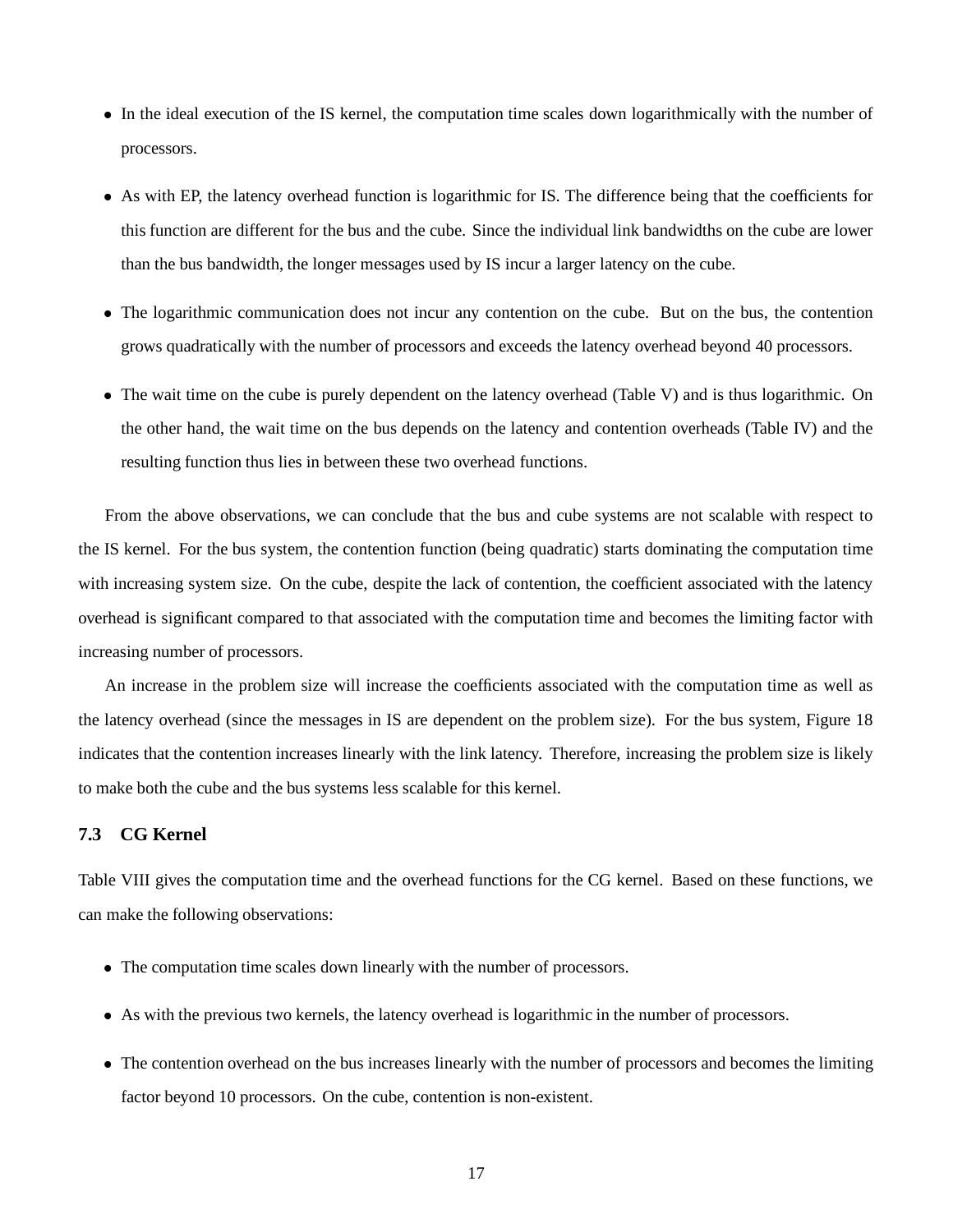- In the ideal execution of the IS kernel, the computation time scales down logarithmically with the number of processors.
- As with EP, the latency overhead function is logarithmic for IS. The difference being that the coefficients for this function are different for the bus and the cube. Since the individual link bandwidths on the cube are lower than the bus bandwidth, the longer messages used by IS incur a larger latency on the cube.
- The logarithmic communication does not incur any contention on the cube. But on the bus, the contention grows quadratically with the number of processors and exceeds the latency overhead beyond 40 processors.
- The wait time on the cube is purely dependent on the latency overhead (Table V) and is thus logarithmic. On the other hand, the wait time on the bus depends on the latency and contention overheads (Table IV) and the resulting function thus lies in between these two overhead functions.

From the above observations, we can conclude that the bus and cube systems are not scalable with respect to the IS kernel. For the bus system, the contention function (being quadratic) starts dominating the computation time with increasing system size. On the cube, despite the lack of contention, the coefficient associated with the latency overhead is significant compared to that associated with the computation time and becomes the limiting factor with increasing number of processors.

An increase in the problem size will increase the coefficients associated with the computation time as well as the latency overhead (since the messages in IS are dependent on the problem size). For the bus system, Figure 18 indicates that the contention increases linearly with the link latency. Therefore, increasing the problem size is likely to make both the cube and the bus systems less scalable for this kernel.

## **7.3 CG Kernel**

Table VIII gives the computation time and the overhead functions for the CG kernel. Based on these functions, we can make the following observations:

- The computation time scales down linearly with the number of processors.
- As with the previous two kernels, the latency overhead is logarithmic in the number of processors.
- The contention overhead on the bus increases linearly with the number of processors and becomes the limiting factor beyond 10 processors. On the cube, contention is non-existent.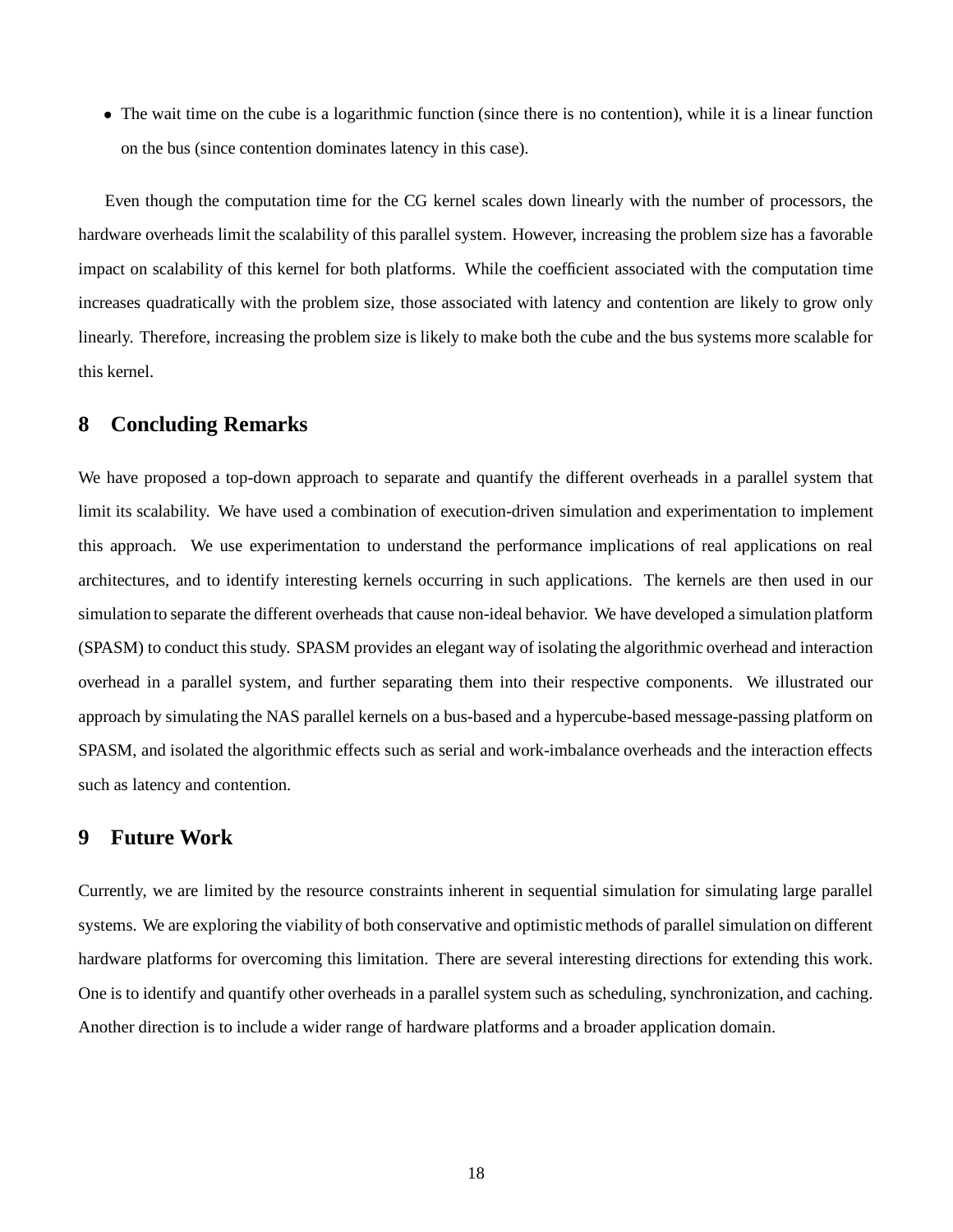The wait time on the cube is a logarithmic function (since there is no contention), while it is a linear function on the bus (since contention dominates latency in this case).

Even though the computation time for the CG kernel scales down linearly with the number of processors, the hardware overheads limit the scalability of this parallel system. However, increasing the problem size has a favorable impact on scalability of this kernel for both platforms. While the coefficient associated with the computation time increases quadratically with the problem size, those associated with latency and contention are likely to grow only linearly. Therefore, increasing the problem size is likely to make both the cube and the bus systems more scalable for this kernel.

### **8 Concluding Remarks**

We have proposed a top-down approach to separate and quantify the different overheads in a parallel system that limit its scalability. We have used a combination of execution-driven simulation and experimentation to implement this approach. We use experimentation to understand the performance implications of real applications on real architectures, and to identify interesting kernels occurring in such applications. The kernels are then used in our simulation to separate the different overheads that cause non-ideal behavior. We have developed a simulation platform (SPASM) to conduct thisstudy. SPASM provides an elegant way of isolating the algorithmic overhead and interaction overhead in a parallel system, and further separating them into their respective components. We illustrated our approach by simulating the NAS parallel kernels on a bus-based and a hypercube-based message-passing platform on SPASM, and isolated the algorithmic effects such as serial and work-imbalance overheads and the interaction effects such as latency and contention.

## **9 Future Work**

Currently, we are limited by the resource constraints inherent in sequential simulation for simulating large parallel systems. We are exploring the viability of both conservative and optimistic methods of parallel simulation on different hardware platforms for overcoming this limitation. There are several interesting directions for extending this work. One is to identify and quantify other overheads in a parallel system such as scheduling, synchronization, and caching. Another direction is to include a wider range of hardware platforms and a broader application domain.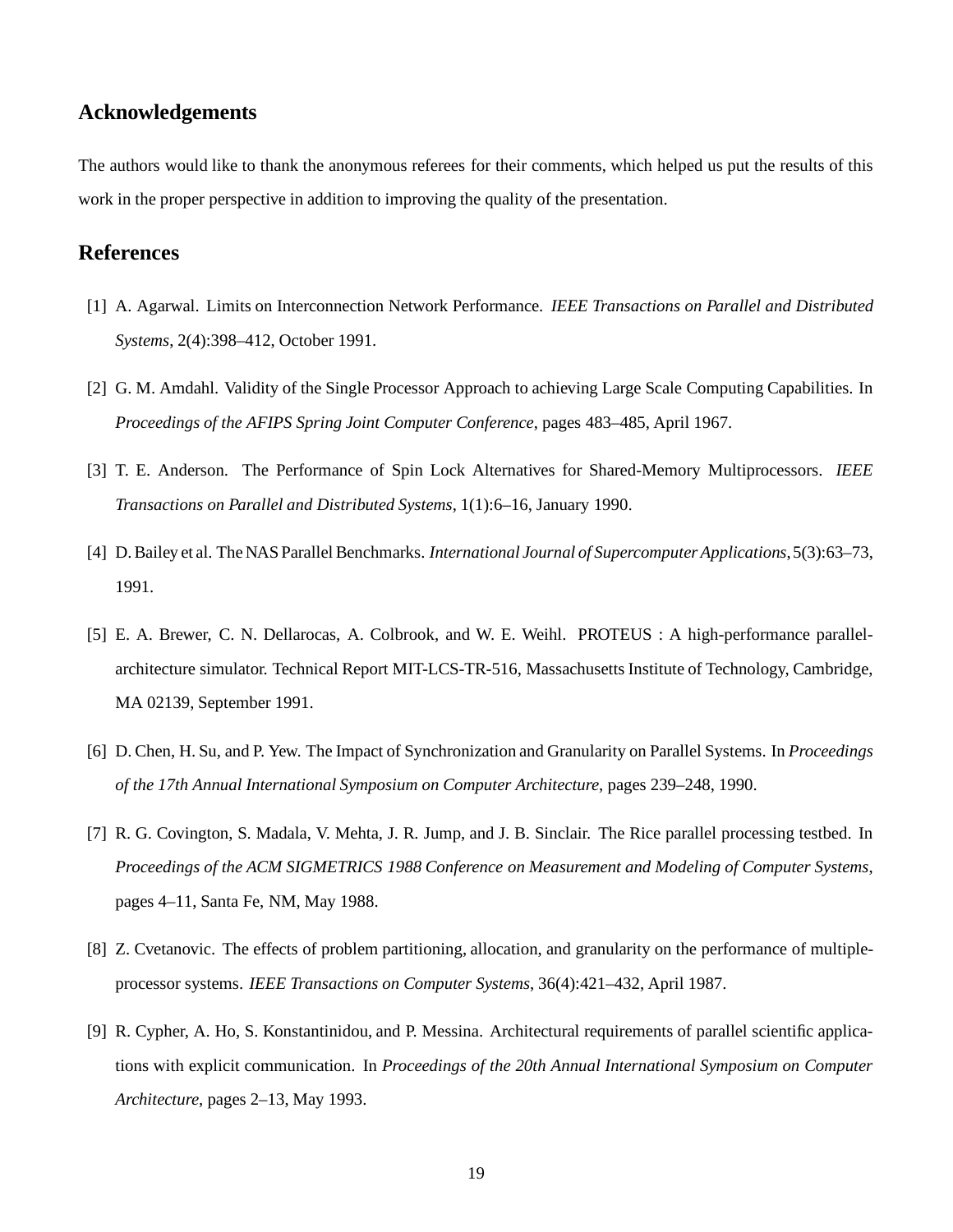## **Acknowledgements**

The authors would like to thank the anonymous referees for their comments, which helped us put the results of this work in the proper perspective in addition to improving the quality of the presentation.

## **References**

- [1] A. Agarwal. Limits on Interconnection Network Performance. *IEEE Transactions on Parallel and Distributed Systems*, 2(4):398–412, October 1991.
- [2] G. M. Amdahl. Validity of the Single Processor Approach to achieving Large Scale Computing Capabilities. In *Proceedings of the AFIPS Spring Joint Computer Conference*, pages 483–485, April 1967.
- [3] T. E. Anderson. The Performance of Spin Lock Alternatives for Shared-Memory Multiprocessors. *IEEE Transactions on Parallel and Distributed Systems*, 1(1):6–16, January 1990.
- [4] D.Bailey et al. The NAS ParallelBenchmarks. *International Journal of Supercomputer Applications*, 5(3):63–73, 1991.
- [5] E. A. Brewer, C. N. Dellarocas, A. Colbrook, and W. E. Weihl. PROTEUS : A high-performance parallelarchitecture simulator. Technical Report MIT-LCS-TR-516, Massachusetts Institute of Technology, Cambridge, MA 02139, September 1991.
- [6] D. Chen, H. Su, and P. Yew. The Impact of Synchronization and Granularity on Parallel Systems. In *Proceedings of the 17th Annual International Symposium on Computer Architecture*, pages 239–248, 1990.
- [7] R. G. Covington, S. Madala, V. Mehta, J. R. Jump, and J. B. Sinclair. The Rice parallel processing testbed. In *Proceedings of the ACM SIGMETRICS 1988 Conference on Measurement and Modeling of Computer Systems*, pages 4–11, Santa Fe, NM, May 1988.
- [8] Z. Cvetanovic. The effects of problem partitioning, allocation, and granularity on the performance of multipleprocessor systems. *IEEE Transactions on Computer Systems*, 36(4):421–432, April 1987.
- [9] R. Cypher, A. Ho, S. Konstantinidou, and P. Messina. Architectural requirements of parallel scientific applications with explicit communication. In *Proceedings of the 20th Annual International Symposium on Computer Architecture*, pages 2–13, May 1993.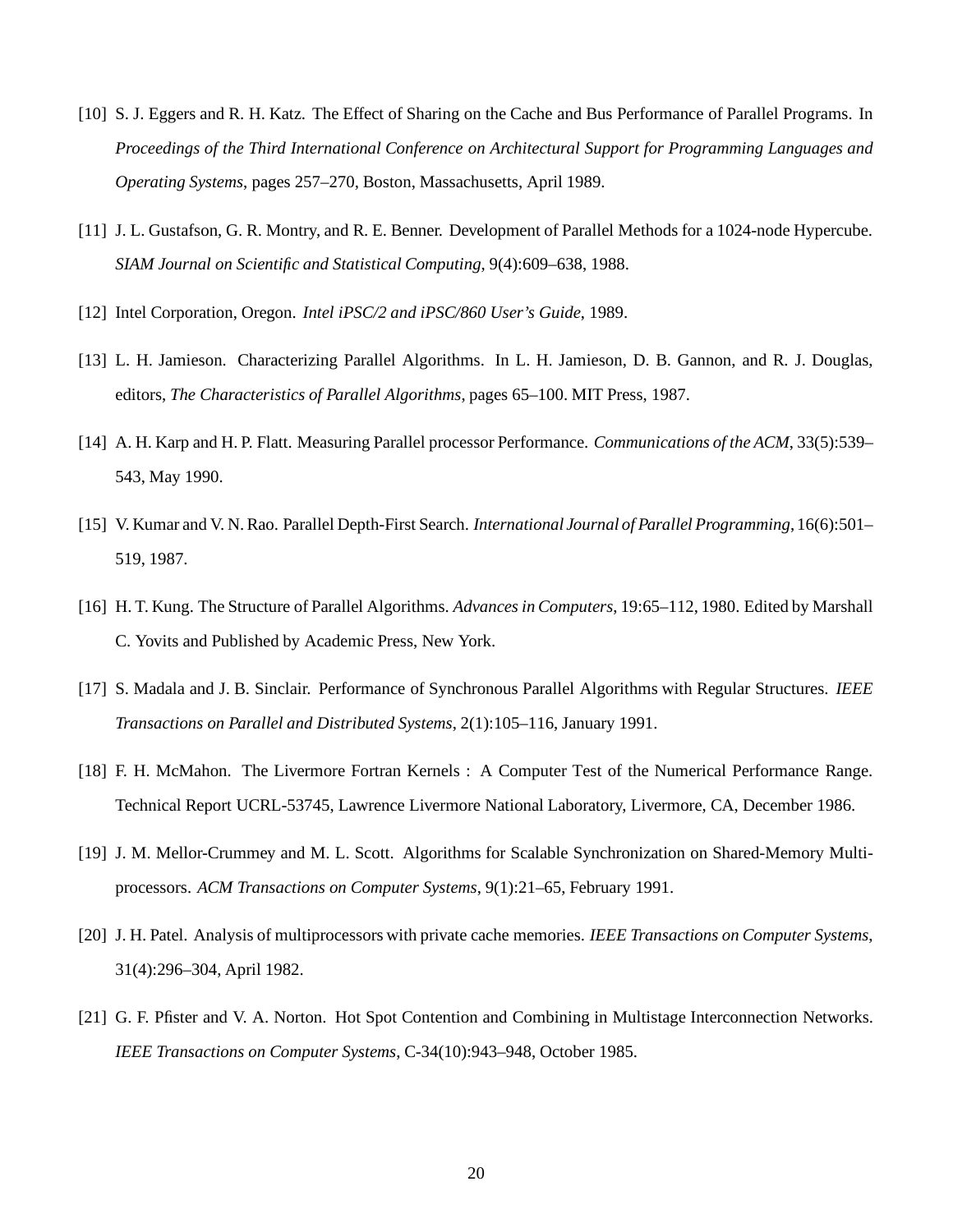- [10] S. J. Eggers and R. H. Katz. The Effect of Sharing on the Cache and Bus Performance of Parallel Programs. In *Proceedings of the Third International Conference on Architectural Support for Programming Languages and Operating Systems*, pages 257–270, Boston, Massachusetts, April 1989.
- [11] J. L. Gustafson, G. R. Montry, and R. E. Benner. Development of Parallel Methods for a 1024-node Hypercube. *SIAM Journal on Scientific and Statistical Computing*, 9(4):609–638, 1988.
- [12] Intel Corporation, Oregon. *Intel iPSC/2 and iPSC/860 User's Guide*, 1989.
- [13] L. H. Jamieson. Characterizing Parallel Algorithms. In L. H. Jamieson, D. B. Gannon, and R. J. Douglas, editors, *The Characteristics of Parallel Algorithms*, pages 65–100. MIT Press, 1987.
- [14] A. H. Karp and H. P. Flatt. Measuring Parallel processor Performance. *Communications of the ACM*, 33(5):539– 543, May 1990.
- [15] V. Kumar and V. N. Rao. Parallel Depth-First Search. *International Journal of Parallel Programming*, 16(6):501– 519, 1987.
- [16] H. T. Kung. The Structure of Parallel Algorithms. *Advances in Computers*, 19:65–112, 1980. Edited by Marshall C. Yovits and Published by Academic Press, New York.
- [17] S. Madala and J. B. Sinclair. Performance of Synchronous Parallel Algorithms with Regular Structures. *IEEE Transactions on Parallel and Distributed Systems*, 2(1):105–116, January 1991.
- [18] F. H. McMahon. The Livermore Fortran Kernels : A Computer Test of the Numerical Performance Range. Technical Report UCRL-53745, Lawrence Livermore National Laboratory, Livermore, CA, December 1986.
- [19] J. M. Mellor-Crummey and M. L. Scott. Algorithms for Scalable Synchronization on Shared-Memory Multiprocessors. *ACM Transactions on Computer Systems*, 9(1):21–65, February 1991.
- [20] J. H. Patel. Analysis of multiprocessors with private cache memories. *IEEE Transactions on Computer Systems*, 31(4):296–304, April 1982.
- [21] G. F. Pfister and V. A. Norton. Hot Spot Contention and Combining in Multistage Interconnection Networks. *IEEE Transactions on Computer Systems*, C-34(10):943–948, October 1985.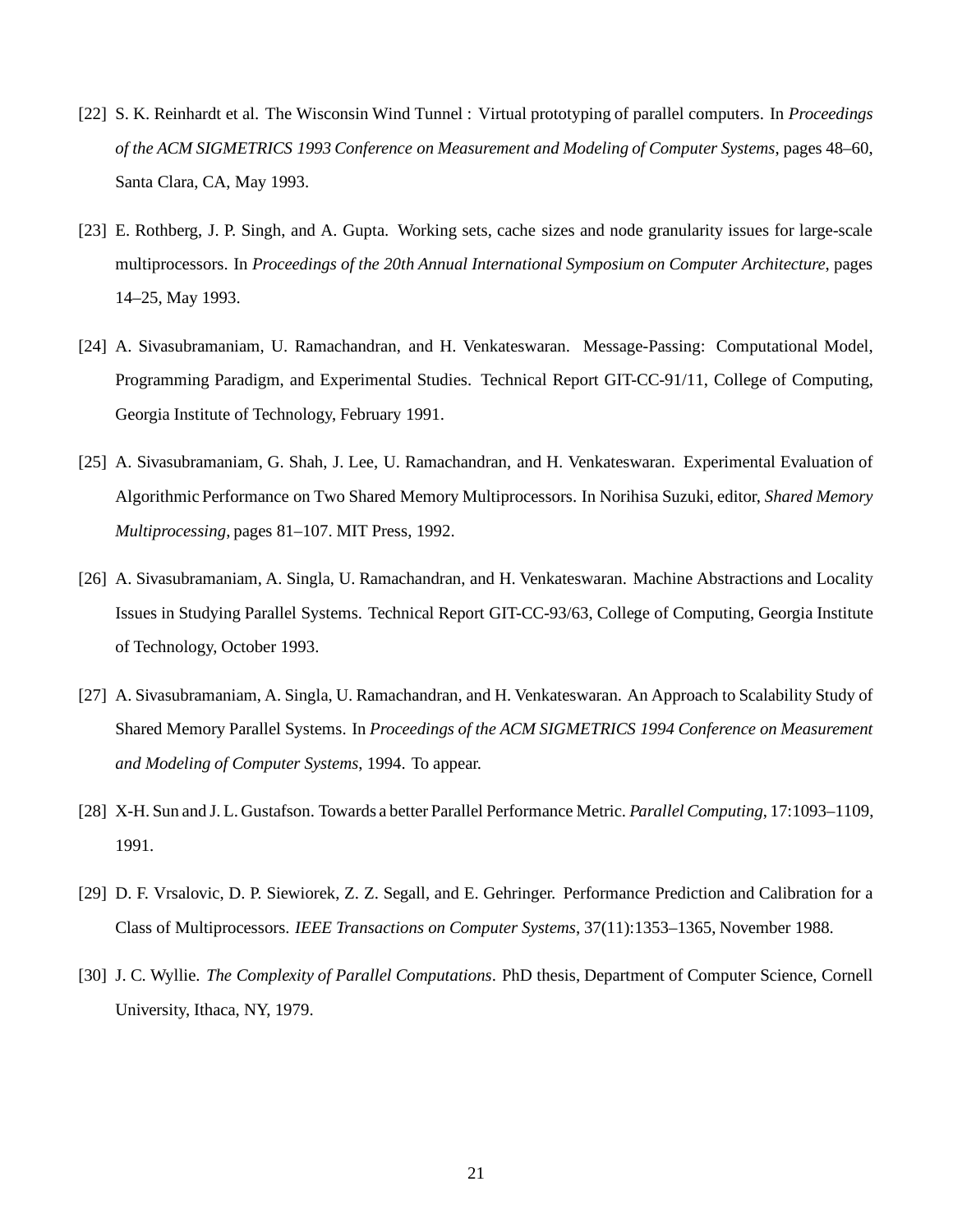- [22] S. K. Reinhardt et al. The Wisconsin Wind Tunnel : Virtual prototyping of parallel computers. In *Proceedings of the ACM SIGMETRICS 1993 Conference on Measurement and Modeling of Computer Systems*, pages 48–60, Santa Clara, CA, May 1993.
- [23] E. Rothberg, J. P. Singh, and A. Gupta. Working sets, cache sizes and node granularity issues for large-scale multiprocessors. In *Proceedings of the 20th Annual International Symposium on Computer Architecture*, pages 14–25, May 1993.
- [24] A. Sivasubramaniam, U. Ramachandran, and H. Venkateswaran. Message-Passing: Computational Model, Programming Paradigm, and Experimental Studies. Technical Report GIT-CC-91/11, College of Computing, Georgia Institute of Technology, February 1991.
- [25] A. Sivasubramaniam, G. Shah, J. Lee, U. Ramachandran, and H. Venkateswaran. Experimental Evaluation of Algorithmic Performance on Two Shared Memory Multiprocessors. In Norihisa Suzuki, editor, *Shared Memory Multiprocessing*, pages 81–107. MIT Press, 1992.
- [26] A. Sivasubramaniam, A. Singla, U. Ramachandran, and H. Venkateswaran. Machine Abstractions and Locality Issues in Studying Parallel Systems. Technical Report GIT-CC-93/63, College of Computing, Georgia Institute of Technology, October 1993.
- [27] A. Sivasubramaniam, A. Singla, U. Ramachandran, and H. Venkateswaran. An Approach to Scalability Study of Shared Memory Parallel Systems. In *Proceedings of the ACM SIGMETRICS 1994 Conference on Measurement and Modeling of Computer Systems*, 1994. To appear.
- [28] X-H. Sun and J. L. Gustafson. Towards a better Parallel Performance Metric. *Parallel Computing*, 17:1093–1109, 1991.
- [29] D. F. Vrsalovic, D. P. Siewiorek, Z. Z. Segall, and E. Gehringer. Performance Prediction and Calibration for a Class of Multiprocessors. *IEEE Transactions on Computer Systems*, 37(11):1353–1365, November 1988.
- [30] J. C. Wyllie. *The Complexity of Parallel Computations*. PhD thesis, Department of Computer Science, Cornell University, Ithaca, NY, 1979.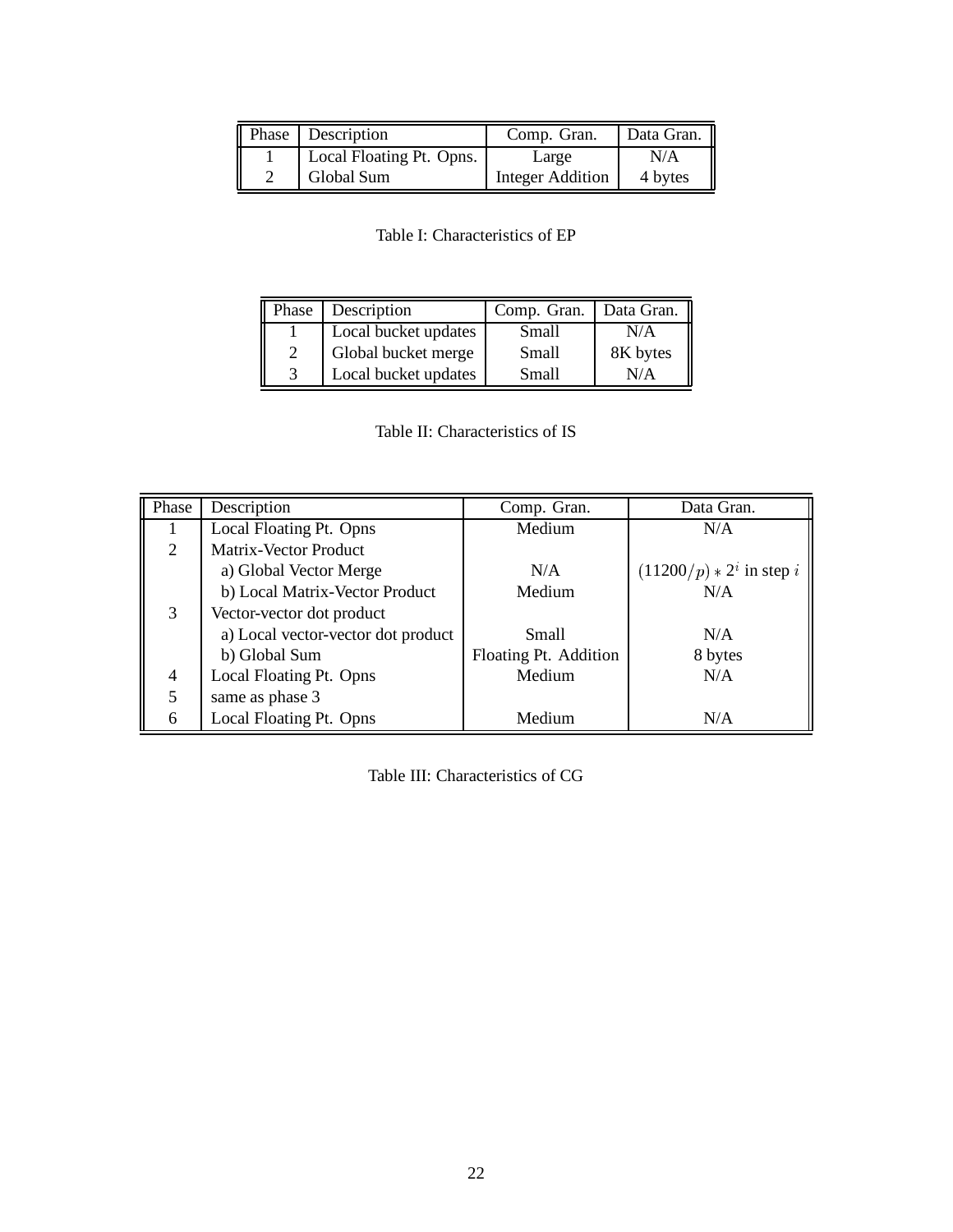| Phase Description        | Comp. Gran.      | Data Gran. |
|--------------------------|------------------|------------|
| Local Floating Pt. Opns. | Large            | N/A        |
| Global Sum               | Integer Addition | 4 bytes    |

Table I: Characteristics of EP

| Phase | Description          | Comp. Gran. | Data Gran. |
|-------|----------------------|-------------|------------|
|       | Local bucket updates | Small       | N/A        |
|       | Global bucket merge  | Small       | 8K bytes   |
|       | Local bucket updates | Small       | N/A        |

| Table II: Characteristics of IS |  |
|---------------------------------|--|
|---------------------------------|--|

| Phase          | Description                        | Comp. Gran.           | Data Gran.                  |
|----------------|------------------------------------|-----------------------|-----------------------------|
|                | Local Floating Pt. Opns            | Medium                | N/A                         |
| $\overline{2}$ | Matrix-Vector Product              |                       |                             |
|                | a) Global Vector Merge             | N/A                   | $(11200/p) * 2^i$ in step i |
|                | b) Local Matrix-Vector Product     | Medium                | N/A                         |
| 3              | Vector-vector dot product          |                       |                             |
|                | a) Local vector-vector dot product | Small                 | N/A                         |
|                | b) Global Sum                      | Floating Pt. Addition | 8 bytes                     |
| 4              | Local Floating Pt. Opns            | Medium                | N/A                         |
| 5              | same as phase 3                    |                       |                             |
| 6              | Local Floating Pt. Opns            | Medium                | N/A                         |

Table III: Characteristics of CG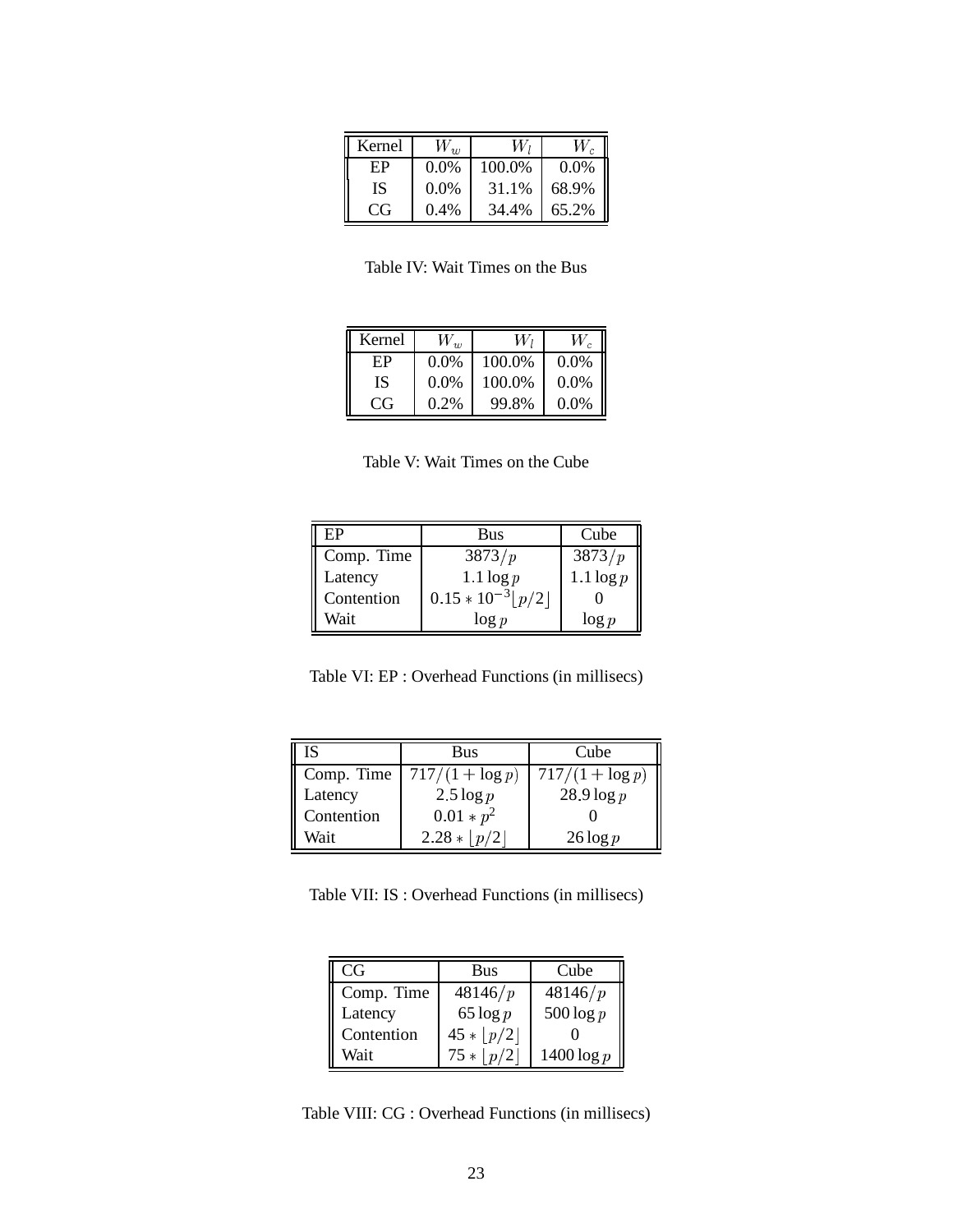| Kernel |         | W,     | W       |
|--------|---------|--------|---------|
| ЕP     | $0.0\%$ | 100.0% | $0.0\%$ |
| IS     | $0.0\%$ | 31.1%  | 68.9%   |
| CG     | $0.4\%$ | 34.4%  | 65.2%   |

Table IV: Wait Times on the Bus

| Kernel | $W_{w}$ | W,     | W.      |
|--------|---------|--------|---------|
| ЕP     | $0.0\%$ | 100.0% | $0.0\%$ |
| ΙS     | $0.0\%$ | 100.0% | 0.0%    |
| CG     | $0.2\%$ | 99.8%  | $0.0\%$ |

Table V: Wait Times on the Cube

| ЕP                    | Bus                    | Cube         |
|-----------------------|------------------------|--------------|
| Comp. Time<br>Latency | 3873/p                 | 3873/p       |
|                       | $1.1 \log p$           | $1.1 \log p$ |
| Contention            | $0.15 * 10^{-3}  p/2 $ |              |
| Wait                  | $\log p$               | $\log p$     |

Table VI: EP : Overhead Functions (in millisecs)

| IS         | Bus                | Cube                      |
|------------|--------------------|---------------------------|
| Comp. Time | $717/(1 + \log p)$ | $\sqrt{717}/(1 + \log p)$ |
| Latency    | $2.5 \log p$       | $28.9 \log p$             |
| Contention | $0.01 * p^2$       |                           |
| Wait       | $2.28 *  p/2 $     | $26 \log p$               |

Table VII: IS : Overhead Functions (in millisecs)

| CG         | Bus           | Cube          |
|------------|---------------|---------------|
| Comp. Time | 48146/p       | 48146/p       |
| Latency    | 65 $\log p$   | $500 \log p$  |
| Contention | $45 *  p/2 $  |               |
| Wait       | $75*$<br> p/2 | $1400 \log p$ |

Table VIII: CG : Overhead Functions (in millisecs)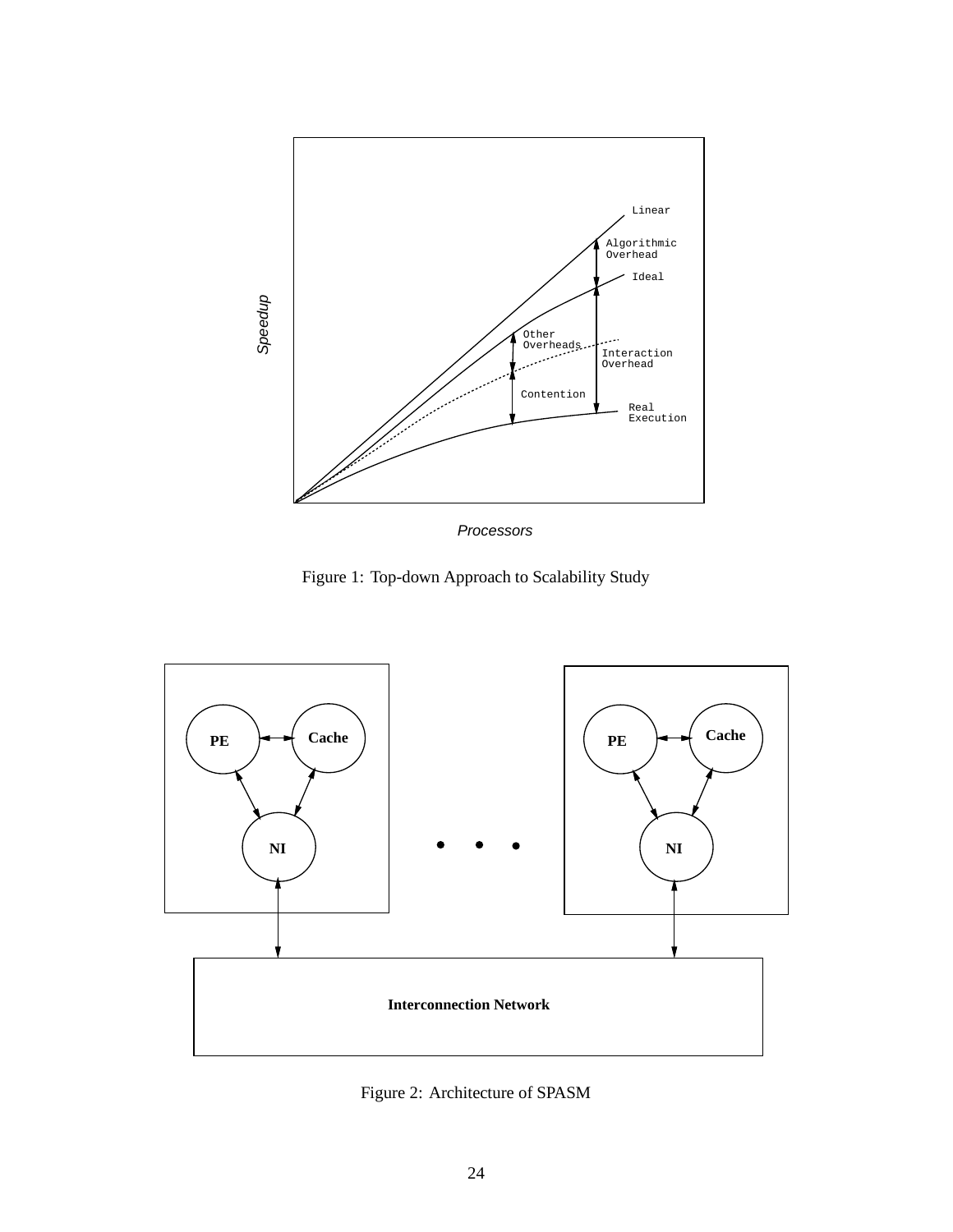

Processors

Figure 1: Top-down Approach to Scalability Study



Figure 2: Architecture of SPASM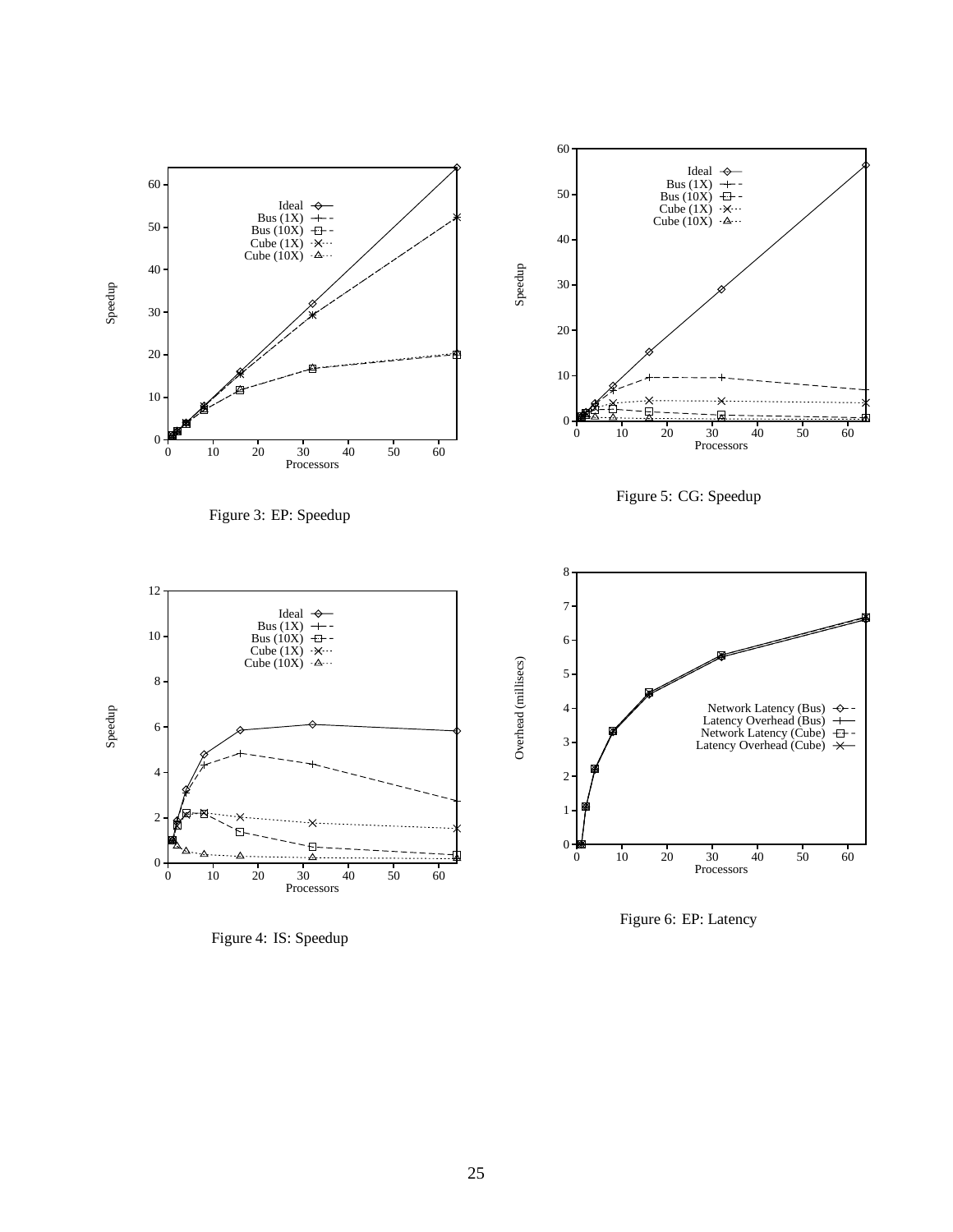

Figure 4: IS: Speedup

Figure 6: EP: Latency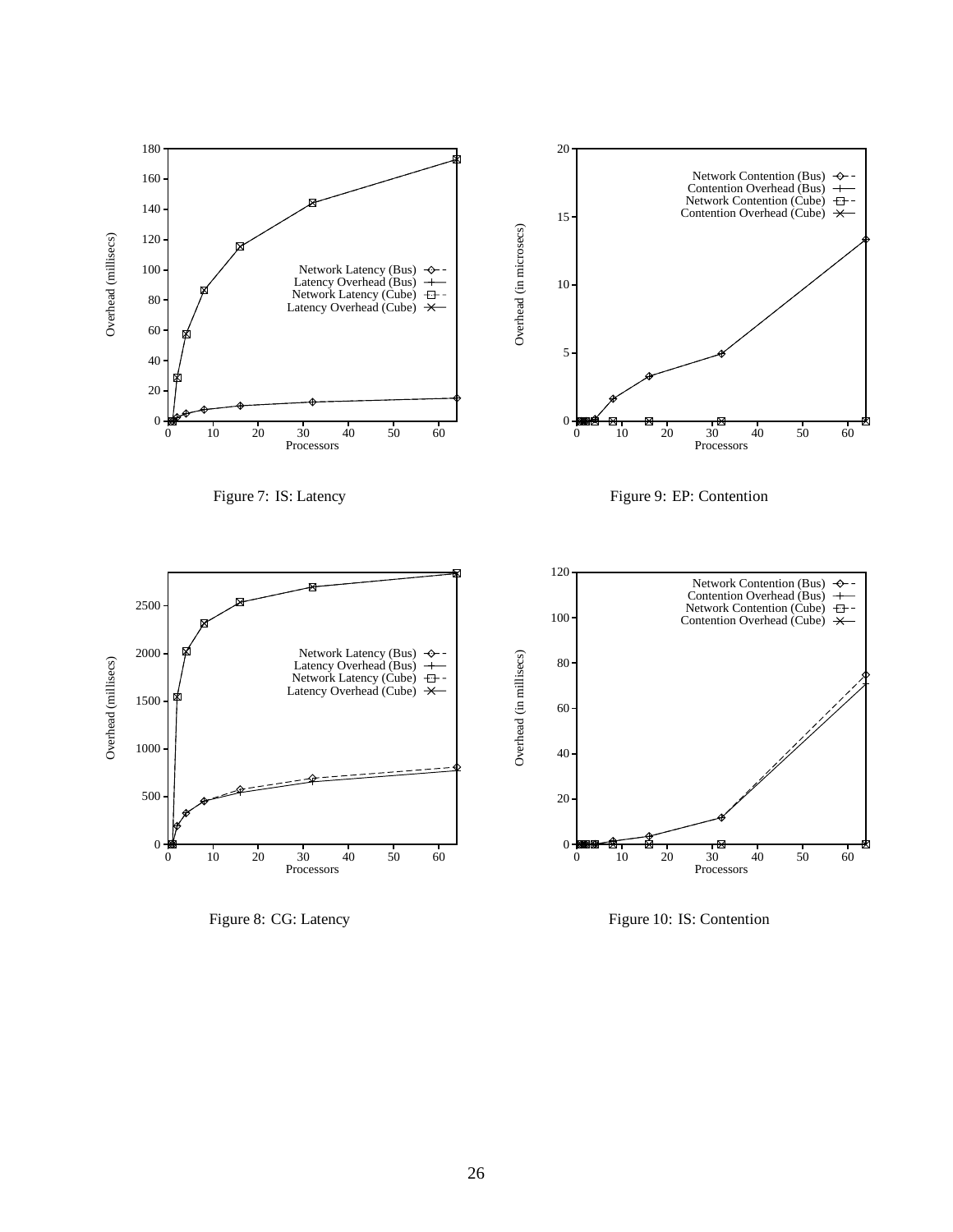

Figure 8: CG: Latency

Figure 10: IS: Contention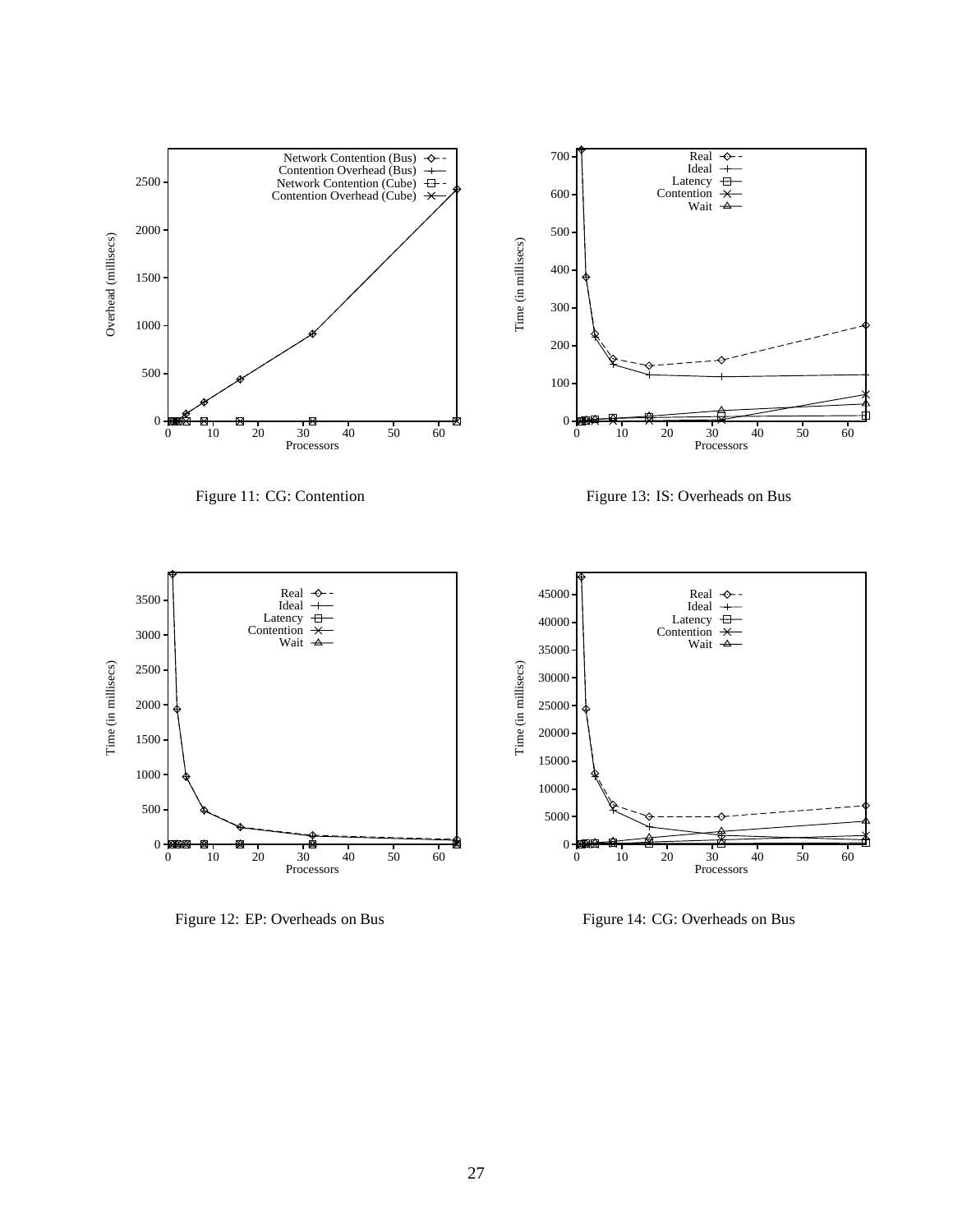

Figure 12: EP: Overheads on Bus

Figure 14: CG: Overheads on Bus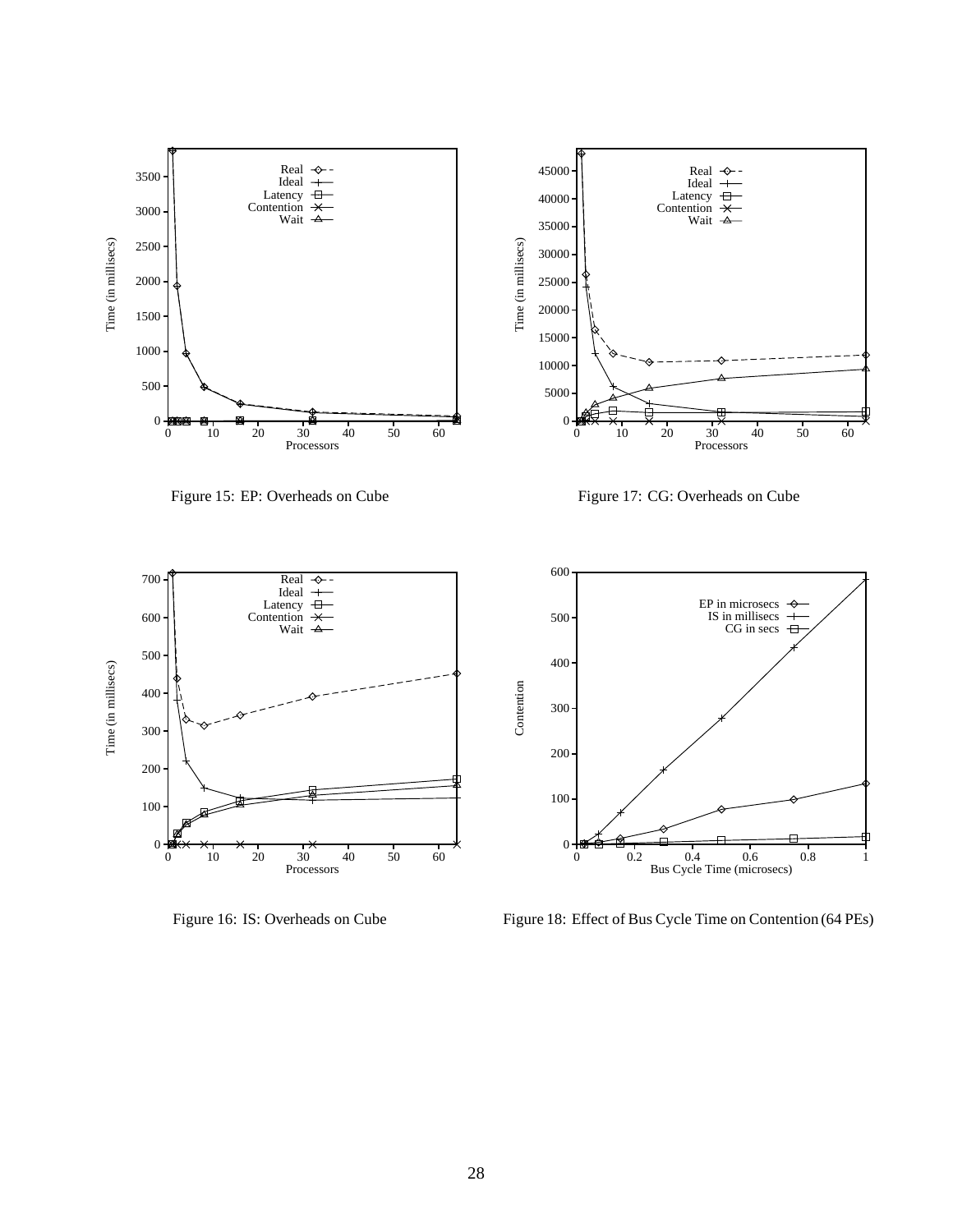

Figure 15: EP: Overheads on Cube

Figure 17: CG: Overheads on Cube



Figure 16: IS: Overheads on Cube



Figure 18: Effect of Bus Cycle Time on Contention (64 PEs)